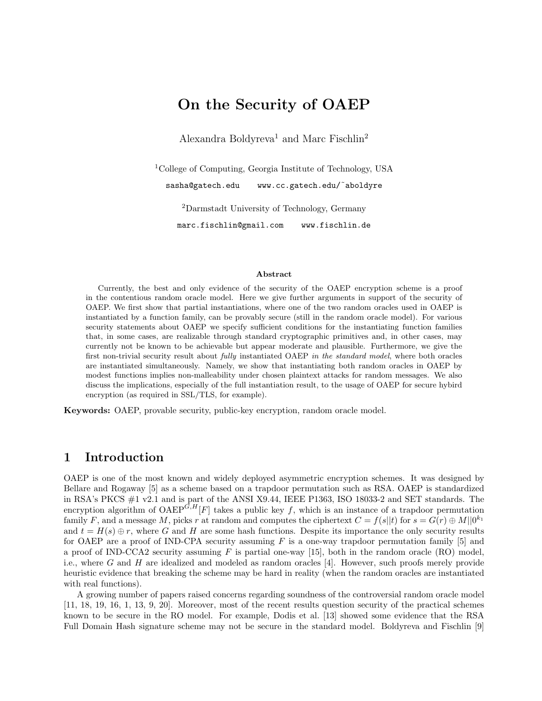# On the Security of OAEP

Alexandra Boldyreva<sup>1</sup> and Marc Fischlin<sup>2</sup>

<sup>1</sup>College of Computing, Georgia Institute of Technology, USA sasha@gatech.edu www.cc.gatech.edu/~aboldyre

<sup>2</sup>Darmstadt University of Technology, Germany marc.fischlin@gmail.com www.fischlin.de

#### Abstract

Currently, the best and only evidence of the security of the OAEP encryption scheme is a proof in the contentious random oracle model. Here we give further arguments in support of the security of OAEP. We first show that partial instantiations, where one of the two random oracles used in OAEP is instantiated by a function family, can be provably secure (still in the random oracle model). For various security statements about OAEP we specify sufficient conditions for the instantiating function families that, in some cases, are realizable through standard cryptographic primitives and, in other cases, may currently not be known to be achievable but appear moderate and plausible. Furthermore, we give the first non-trivial security result about *fully* instantiated OAEP in the standard model, where both oracles are instantiated simultaneously. Namely, we show that instantiating both random oracles in OAEP by modest functions implies non-malleability under chosen plaintext attacks for random messages. We also discuss the implications, especially of the full instantiation result, to the usage of OAEP for secure hybird encryption (as required in SSL/TLS, for example).

Keywords: OAEP, provable security, public-key encryption, random oracle model.

### 1 Introduction

OAEP is one of the most known and widely deployed asymmetric encryption schemes. It was designed by Bellare and Rogaway [5] as a scheme based on a trapdoor permutation such as RSA. OAEP is standardized in RSA's PKCS #1 v2.1 and is part of the ANSI X9.44, IEEE P1363, ISO 18033-2 and SET standards. The encryption algorithm of OAEP<sup>G,H</sup>[F] takes a public key f, which is an instance of a trapdoor permutation family F, and a message M, picks r at random and computes the ciphertext  $C = f(s||t)$  for  $s = G(r) \oplus M||0^{k_1}$ and  $t = H(s) \oplus r$ , where G and H are some hash functions. Despite its importance the only security results for OAEP are a proof of IND-CPA security assuming  $F$  is a one-way trapdoor permutation family [5] and a proof of IND-CCA2 security assuming  $F$  is partial one-way [15], both in the random oracle (RO) model, i.e., where G and H are idealized and modeled as random oracles [4]. However, such proofs merely provide heuristic evidence that breaking the scheme may be hard in reality (when the random oracles are instantiated with real functions).

A growing number of papers raised concerns regarding soundness of the controversial random oracle model [11, 18, 19, 16, 1, 13, 9, 20]. Moreover, most of the recent results question security of the practical schemes known to be secure in the RO model. For example, Dodis et al. [13] showed some evidence that the RSA Full Domain Hash signature scheme may not be secure in the standard model. Boldyreva and Fischlin [9]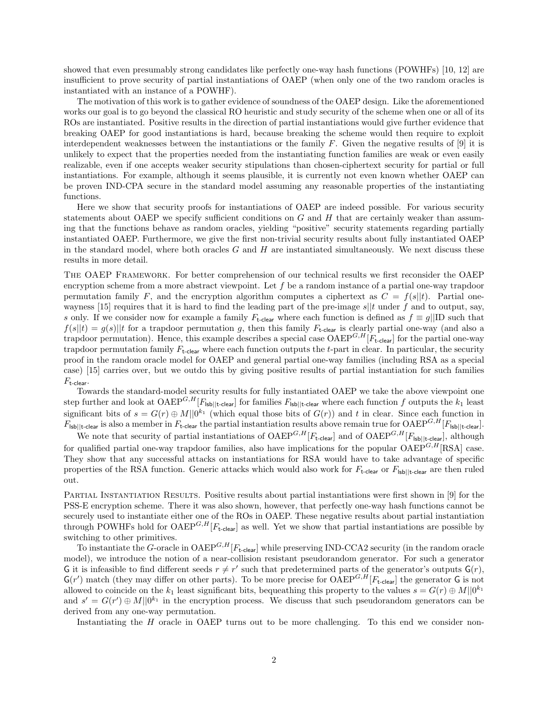showed that even presumably strong candidates like perfectly one-way hash functions (POWHFs) [10, 12] are insufficient to prove security of partial instantiations of OAEP (when only one of the two random oracles is instantiated with an instance of a POWHF).

The motivation of this work is to gather evidence of soundness of the OAEP design. Like the aforementioned works our goal is to go beyond the classical RO heuristic and study security of the scheme when one or all of its ROs are instantiated. Positive results in the direction of partial instantiations would give further evidence that breaking OAEP for good instantiations is hard, because breaking the scheme would then require to exploit interdependent weaknesses between the instantiations or the family  $F$ . Given the negative results of [9] it is unlikely to expect that the properties needed from the instantiating function families are weak or even easily realizable, even if one accepts weaker security stipulations than chosen-ciphertext security for partial or full instantiations. For example, although it seems plausible, it is currently not even known whether OAEP can be proven IND-CPA secure in the standard model assuming any reasonable properties of the instantiating functions.

Here we show that security proofs for instantiations of OAEP are indeed possible. For various security statements about OAEP we specify sufficient conditions on  $G$  and  $H$  that are certainly weaker than assuming that the functions behave as random oracles, yielding "positive" security statements regarding partially instantiated OAEP. Furthermore, we give the first non-trivial security results about fully instantiated OAEP in the standard model, where both oracles  $G$  and  $H$  are instantiated simultaneously. We next discuss these results in more detail.

The OAEP Framework. For better comprehension of our technical results we first reconsider the OAEP encryption scheme from a more abstract viewpoint. Let  $f$  be a random instance of a partial one-way trapdoor permutation family F, and the encryption algorithm computes a ciphertext as  $C = f(s||t)$ . Partial onewayness [15] requires that it is hard to find the leading part of the pre-image  $s||t$  under f and to output, say, s only. If we consider now for example a family  $F_{\text{t-clear}}$  where each function is defined as  $f \equiv g||\text{ID}$  such that  $f(s||t) = g(s)||t$  for a trapdoor permutation g, then this family  $F_{t-\text{clear}}$  is clearly partial one-way (and also a trapdoor permutation). Hence, this example describes a special case  $OAEP^{G,H}[F_{t-\text{clear}}]$  for the partial one-way trapdoor permutation family  $F_{t-\text{clear}}$  where each function outputs the t-part in clear. In particular, the security proof in the random oracle model for OAEP and general partial one-way families (including RSA as a special case) [15] carries over, but we outdo this by giving positive results of partial instantiation for such families  $F_{t-\text{clear}}$ .

Towards the standard-model security results for fully instantiated OAEP we take the above viewpoint one step further and look at  $O A E P^{G,H}[F_{\text{lsb}||\text{t-clear}}]$  for families  $F_{\text{lsb}||\text{t-clear}}$  where each function f outputs the  $k_1$  least significant bits of  $s = G(r) \oplus M||0^{k_1}$  (which equal those bits of  $G(r)$ ) and t in clear. Since each function in  $F_{\text{lsb}||\text{t-clear}}$  is also a member in  $F_{\text{t-clear}}$  the partial instantiation results above remain true for  $\text{OAEP}^{G,H}[F_{\text{lsb}||\text{t-clear}}]$ .

We note that security of partial instantiations of  $O A E P^{G,H}[F_{\text{t-clear}}]$  and of  $O A E P^{G,H}[F_{\text{lsb}}]$ <sub>t-clear</sub>, although for qualified partial one-way trapdoor families, also have implications for the popular  $O A E P^{G,H}[RSA]$  case. They show that any successful attacks on instantiations for RSA would have to take advantage of specific properties of the RSA function. Generic attacks which would also work for  $F_{t-\text{clear}}$  or  $F_{\text{lsb||t-clear}}$  are then ruled out.

Partial Instantiation Results. Positive results about partial instantiations were first shown in [9] for the PSS-E encryption scheme. There it was also shown, however, that perfectly one-way hash functions cannot be securely used to instantiate either one of the ROs in OAEP. These negative results about partial instantiation through POWHFs hold for  $OAEP^{G,H}[F_{t-\text{clear}}]$  as well. Yet we show that partial instantiations are possible by switching to other primitives.

To instantiate the G-oracle in  $O A E P^{G,H}[F_{t-\text{clear}}]$  while preserving IND-CCA2 security (in the random oracle model), we introduce the notion of a near-collision resistant pseudorandom generator. For such a generator G it is infeasible to find different seeds  $r \neq r'$  such that predetermined parts of the generator's outputs  $G(r)$ ,  $\mathsf{G}(r')$  match (they may differ on other parts). To be more precise for OAEP<sup>G,H</sup>[ $F_{\text{t-clear}}$ ] the generator G is not allowed to coincide on the  $k_1$  least significant bits, bequeathing this property to the values  $s = G(r) \oplus M||0^{k_1}$ and  $s' = G(r') \oplus M||0^{k_1}$  in the encryption process. We discuss that such pseudorandom generators can be derived from any one-way permutation.

Instantiating the H oracle in OAEP turns out to be more challenging. To this end we consider non-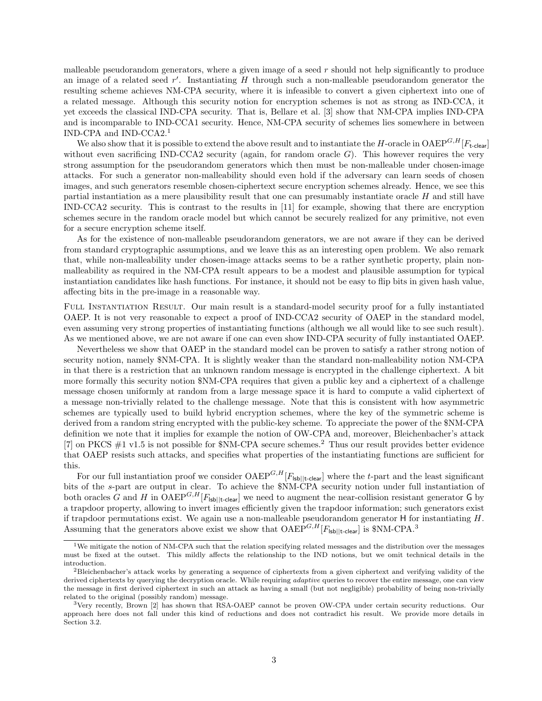malleable pseudorandom generators, where a given image of a seed r should not help significantly to produce an image of a related seed  $r'$ . Instantiating  $H$  through such a non-malleable pseudorandom generator the resulting scheme achieves NM-CPA security, where it is infeasible to convert a given ciphertext into one of a related message. Although this security notion for encryption schemes is not as strong as IND-CCA, it yet exceeds the classical IND-CPA security. That is, Bellare et al. [3] show that NM-CPA implies IND-CPA and is incomparable to IND-CCA1 security. Hence, NM-CPA security of schemes lies somewhere in between IND-CPA and IND-CCA2.<sup>1</sup>

We also show that it is possible to extend the above result and to instantiate the H-oracle in  $O A E P^{G,H}[F_{t-\text{clear}}]$ without even sacrificing IND-CCA2 security (again, for random oracle  $G$ ). This however requires the very strong assumption for the pseudorandom generators which then must be non-malleable under chosen-image attacks. For such a generator non-malleability should even hold if the adversary can learn seeds of chosen images, and such generators resemble chosen-ciphertext secure encryption schemes already. Hence, we see this partial instantiation as a mere plausibility result that one can presumably instantiate oracle H and still have IND-CCA2 security. This is contrast to the results in [11] for example, showing that there are encryption schemes secure in the random oracle model but which cannot be securely realized for any primitive, not even for a secure encryption scheme itself.

As for the existence of non-malleable pseudorandom generators, we are not aware if they can be derived from standard cryptographic assumptions, and we leave this as an interesting open problem. We also remark that, while non-malleability under chosen-image attacks seems to be a rather synthetic property, plain nonmalleability as required in the NM-CPA result appears to be a modest and plausible assumption for typical instantiation candidates like hash functions. For instance, it should not be easy to flip bits in given hash value, affecting bits in the pre-image in a reasonable way.

FULL INSTANTIATION RESULT. Our main result is a standard-model security proof for a fully instantiated OAEP. It is not very reasonable to expect a proof of IND-CCA2 security of OAEP in the standard model, even assuming very strong properties of instantiating functions (although we all would like to see such result). As we mentioned above, we are not aware if one can even show IND-CPA security of fully instantiated OAEP.

Nevertheless we show that OAEP in the standard model can be proven to satisfy a rather strong notion of security notion, namely \$NM-CPA. It is slightly weaker than the standard non-malleability notion NM-CPA in that there is a restriction that an unknown random message is encrypted in the challenge ciphertext. A bit more formally this security notion \$NM-CPA requires that given a public key and a ciphertext of a challenge message chosen uniformly at random from a large message space it is hard to compute a valid ciphertext of a message non-trivially related to the challenge message. Note that this is consistent with how asymmetric schemes are typically used to build hybrid encryption schemes, where the key of the symmetric scheme is derived from a random string encrypted with the public-key scheme. To appreciate the power of the \$NM-CPA definition we note that it implies for example the notion of OW-CPA and, moreover, Bleichenbacher's attack  $[7]$  on PKCS  $\#1$  v1.5 is not possible for \$NM-CPA secure schemes.<sup>2</sup> Thus our result provides better evidence that OAEP resists such attacks, and specifies what properties of the instantiating functions are sufficient for this.

For our full instantiation proof we consider  $O AEP^{G,H}[F_{\text{lsb}}|_{\text{t-clear}}]$  where the t-part and the least significant bits of the s-part are output in clear. To achieve the \$NM-CPA security notion under full instantiation of both oracles G and H in  $OAEP^{G,H}[F_{\text{lsb}}|_{\text{t-clear}}]$  we need to augment the near-collision resistant generator G by a trapdoor property, allowing to invert images efficiently given the trapdoor information; such generators exist if trapdoor permutations exist. We again use a non-malleable pseudorandom generator  $H$  for instantiating  $H$ . Assuming that the generators above exist we show that  $O A E P^{G,H} [F_{\text{lsbl|t-clear}}]$  is \$NM-CPA.<sup>3</sup>

 $1$ We mitigate the notion of NM-CPA such that the relation specifying related messages and the distribution over the messages must be fixed at the outset. This mildly affects the relationship to the IND notions, but we omit technical details in the introduction.

<sup>2</sup>Bleichenbacher's attack works by generating a sequence of ciphertexts from a given ciphertext and verifying validity of the derived ciphertexts by querying the decryption oracle. While requiring *adaptive* queries to recover the entire message, one can view the message in first derived ciphertext in such an attack as having a small (but not negligible) probability of being non-trivially related to the original (possibly random) message.

 $3$ Very recently, Brown [2] has shown that RSA-OAEP cannot be proven OW-CPA under certain security reductions. Our approach here does not fall under this kind of reductions and does not contradict his result. We provide more details in Section 3.2.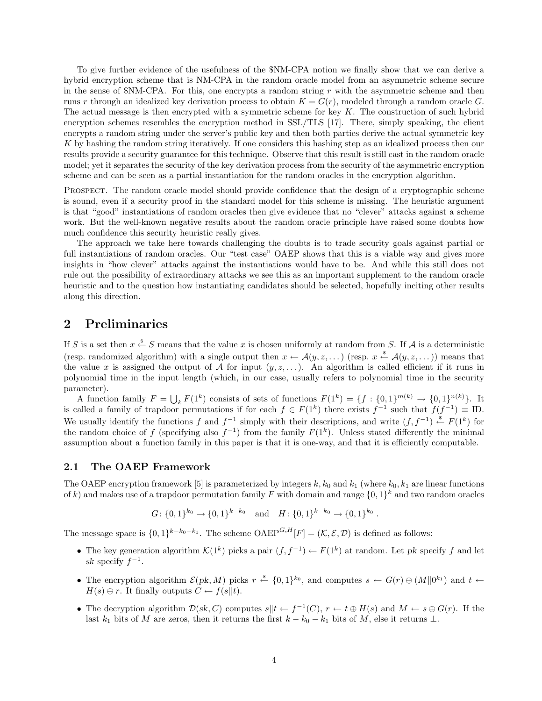To give further evidence of the usefulness of the \$NM-CPA notion we finally show that we can derive a hybrid encryption scheme that is NM-CPA in the random oracle model from an asymmetric scheme secure in the sense of  $N$ M-CPA. For this, one encrypts a random string r with the asymmetric scheme and then runs r through an idealized key derivation process to obtain  $K = G(r)$ , modeled through a random oracle G. The actual message is then encrypted with a symmetric scheme for key  $K$ . The construction of such hybrid encryption schemes resembles the encryption method in SSL/TLS [17]. There, simply speaking, the client encrypts a random string under the server's public key and then both parties derive the actual symmetric key K by hashing the random string iteratively. If one considers this hashing step as an idealized process then our results provide a security guarantee for this technique. Observe that this result is still cast in the random oracle model; yet it separates the security of the key derivation process from the security of the asymmetric encryption scheme and can be seen as a partial instantiation for the random oracles in the encryption algorithm.

PROSPECT. The random oracle model should provide confidence that the design of a cryptographic scheme is sound, even if a security proof in the standard model for this scheme is missing. The heuristic argument is that "good" instantiations of random oracles then give evidence that no "clever" attacks against a scheme work. But the well-known negative results about the random oracle principle have raised some doubts how much confidence this security heuristic really gives.

The approach we take here towards challenging the doubts is to trade security goals against partial or full instantiations of random oracles. Our "test case" OAEP shows that this is a viable way and gives more insights in "how clever" attacks against the instantiations would have to be. And while this still does not rule out the possibility of extraordinary attacks we see this as an important supplement to the random oracle heuristic and to the question how instantiating candidates should be selected, hopefully inciting other results along this direction.

#### 2 Preliminaries

If S is a set then  $x \stackrel{\ast}{\leftarrow} S$  means that the value x is chosen uniformly at random from S. If A is a deterministic (resp. randomized algorithm) with a single output then  $x \leftarrow \mathcal{A}(y, z, \dots)$  (resp.  $x \stackrel{\$}{\leftarrow} \mathcal{A}(y, z, \dots)$ ) means that the value x is assigned the output of A for input  $(y, z, \ldots)$ . An algorithm is called efficient if it runs in polynomial time in the input length (which, in our case, usually refers to polynomial time in the security parameter).

A function family  $F = \bigcup_k F(1^k)$  consists of sets of functions  $F(1^k) = \{f : \{0,1\}^{m(k)} \to \{0,1\}^{n(k)}\}$ . It is called a family of trapdoor permutations if for each  $f \in F(1^k)$  there exists  $f^{-1}$  such that  $f(f^{-1}) \equiv ID$ . We usually identify the functions f and  $f^{-1}$  simply with their descriptions, and write  $(f, f^{-1}) \stackrel{\text{s}}{\leftarrow} F(1^k)$  for the random choice of f (specifying also  $f^{-1}$ ) from the family  $F(1^k)$ . Unless stated differently the minimal assumption about a function family in this paper is that it is one-way, and that it is efficiently computable.

#### 2.1 The OAEP Framework

The OAEP encryption framework [5] is parameterized by integers  $k, k_0$  and  $k_1$  (where  $k_0, k_1$  are linear functions of k) and makes use of a trapdoor permutation family F with domain and range  $\{0,1\}^k$  and two random oracles

$$
G: \{0,1\}^{k_0} \to \{0,1\}^{k-k_0}
$$
 and  $H: \{0,1\}^{k-k_0} \to \{0,1\}^{k_0}$ .

The message space is  $\{0,1\}^{k-k_0-k_1}$ . The scheme  $OAEP^{G,H}[F] = (K,\mathcal{E},\mathcal{D})$  is defined as follows:

- The key generation algorithm  $\mathcal{K}(1^k)$  picks a pair  $(f, f^{-1}) \leftarrow F(1^k)$  at random. Let pk specify f and let sk specify  $f^{-1}$ .
- The encryption algorithm  $\mathcal{E}(pk, M)$  picks  $r \stackrel{\$}{\leftarrow} \{0,1\}^{k_0}$ , and computes  $s \leftarrow G(r) \oplus (M||0^{k_1})$  and  $t \leftarrow$  $H(s) \oplus r$ . It finally outputs  $C \leftarrow f(s||t)$ .
- The decryption algorithm  $\mathcal{D}(sk, C)$  computes  $s \mid t \leftarrow f^{-1}(C), r \leftarrow t \oplus H(s)$  and  $M \leftarrow s \oplus G(r)$ . If the last  $k_1$  bits of M are zeros, then it returns the first  $k - k_0 - k_1$  bits of M, else it returns  $\perp$ .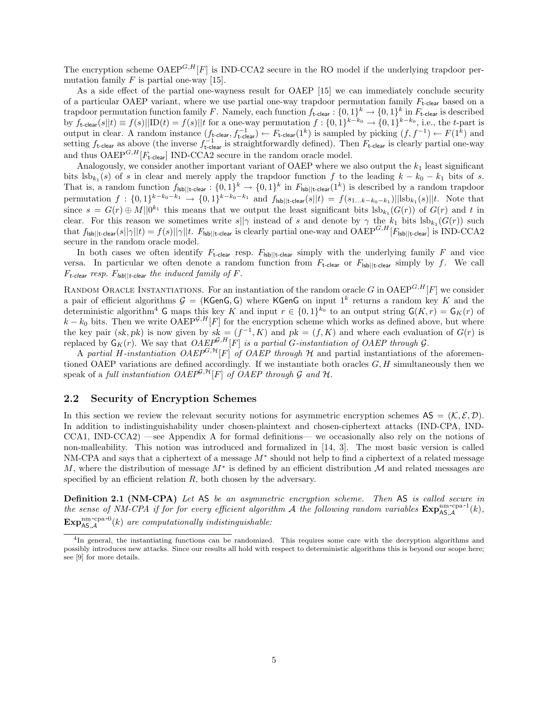The encryption scheme  $OAEP^{G,H}[F]$  is IND-CCA2 secure in the RO model if the underlying trapdoor permutation family  $F$  is partial one-way [15].

As a side effect of the partial one-wayness result for OAEP [15] we can immediately conclude security of a particular OAEP variant, where we use partial one-way trapdoor permutation family  $F_{\text{t-clear}}$  based on a trapdoor permutation function family F. Namely, each function  $f_{\text{t-clear}}: \{0,1\}^k \to \{0,1\}^k$  in  $F_{\text{t-clear}}$  is described by  $f_{\text{t-clear}}(s||t) \equiv f(s)||\text{ID}(t) = f(s)||t$  for a one-way permutation  $f: \{0,1\}^{k-k_0} \to \{0,1\}^{k-k_0}$ , i.e., the t-part is output in clear. A random instance  $(f_{\text{t-clear}}, f_{\text{t-clear}}^{-1}) \leftarrow F_{\text{t-clear}}(1^k)$  is sampled by picking  $(f, f^{-1}) \leftarrow F(1^k)$  and setting  $f_{t-\text{clear}}$  as above (the inverse  $f_{t-\text{clear}}^{-1}$  is straightforwardly defined). Then  $F_{t-\text{clear}}$  is clearly partial one-way and thus  $OAEP^{G,H}[F_{t-\text{clear}}]$  IND-CCA2 secure in the random oracle model.

Analogously, we consider another important variant of OAEP where we also output the  $k_1$  least significant bits  $\text{lsb}_{k_1}(s)$  of s in clear and merely apply the trapdoor function f to the leading  $k - k_0 - k_1$  bits of s. That is, a random function  $f_{\text{lsb}||\text{t-clear}}: \{0,1\}^k \to \{0,1\}^k$  in  $F_{\text{lsb}||\text{t-clear}}(1^k)$  is described by a random trapdoor permutation  $f: \{0,1\}^{k-k_0-k_1} \to \{0,1\}^{k-k_0-k_1}$  and  $f_{\text{lsb}||\text{t-clear}}(s||t) = f(s_{1...k-k_0-k_1})||\text{lsb}_{k_1}(s)||t$ . Note that since  $s = G(r) \oplus M \mid 0^{k_1}$  this means that we output the least significant bits  $\text{lsb}_{k_1}(G(r))$  of  $G(r)$  and t in clear. For this reason we sometimes write  $s||\gamma$  instead of s and denote by  $\gamma$  the  $k_1$  bits  $lsb_{k_1}(G(r))$  such that  $f_{\text{lsb}||\text{t-clear}}(s||\gamma||t) = f(s)||\gamma||t$ .  $F_{\text{lsb}||\text{t-clear}}$  is clearly partial one-way and  $OAEP^{G,H}[F_{\text{lsb}||\text{t-clear}}]$  is IND-CCA2 secure in the random oracle model.

In both cases we often identify  $F_{\text{t-clear}}$  resp.  $F_{\text{lsb||t-clear}}$  simply with the underlying family F and vice versa. In particular we often denote a random function from  $F_{t-\text{clear}}$  or  $F_{\text{lsbl}|t-\text{clear}}$  simply by f. We call  $F_{t-\text{clear}}$  resp.  $F_{\text{lsb}||t-\text{clear}}$  the induced family of F.

RANDOM ORACLE INSTANTIATIONS. For an instantiation of the random oracle G in  $O A E P^{G,H}[F]$  we consider a pair of efficient algorithms  $G = (KGenG, G)$  where KGenG on input  $1^k$  returns a random key K and the deterministic algorithm<sup>4</sup> G maps this key K and input  $r \in \{0,1\}^{k_0}$  to an output string  $G(K,r) = G_K(r)$  of  $k - k_0$  bits. Then we write OAEP<sup>G,H</sup>[F] for the encryption scheme which works as defined above, but where the key pair  $(sk, pk)$  is now given by  $sk = (f^{-1}, K)$  and  $pk = (f, K)$  and where each evaluation of  $G(r)$  is replaced by  $G_K(r)$ . We say that  $OAEP^{\mathcal{G},H}[F]$  is a partial G-instantiation of OAEP through  $\mathcal{G}$ .

A partial H-instantiation  $OAEP^{G,\mathcal{H}}[F]$  of  $OAEP$  through H and partial instantiations of the aforementioned OAEP variations are defined accordingly. If we instantiate both oracles  $G, H$  simultaneously then we speak of a full instantiation  $OAEP^{\mathcal{G},\mathcal{H}}[F]$  of  $OAEP$  through  $\mathcal G$  and  $\mathcal H$ .

#### 2.2 Security of Encryption Schemes

In this section we review the relevant security notions for asymmetric encryption schemes  $AS = (K, \mathcal{E}, \mathcal{D})$ . In addition to indistinguishability under chosen-plaintext and chosen-ciphertext attacks (IND-CPA, IND-CCA1, IND-CCA2) —see Appendix A for formal definitions— we occasionally also rely on the notions of non-malleability. This notion was introduced and formalized in [14, 3]. The most basic version is called NM-CPA and says that a ciphertext of a message  $M^*$  should not help to find a ciphertext of a related message M, where the distribution of message  $M^*$  is defined by an efficient distribution M and related messages are specified by an efficient relation  $R$ , both chosen by the adversary.

Definition 2.1 (NM-CPA) Let AS be an asymmetric encryption scheme. Then AS is called secure in the sense of NM-CPA if for for every efficient algorithm A the following random variables  $\text{Exp}_{\mathsf{AS},\mathcal{A}}^{\text{nm-cpa-1}}(k)$ ,  $\mathbf{Exp}_{\mathsf{AS},\mathcal{A}}^{\text{nm-cpa-0}}(k)$  are computationally indistinguishable:

<sup>&</sup>lt;sup>4</sup>In general, the instantiating functions can be randomized. This requires some care with the decryption algorithms and possibly introduces new attacks. Since our results all hold with respect to deterministic algorithms this is beyond our scope here; see [9] for more details.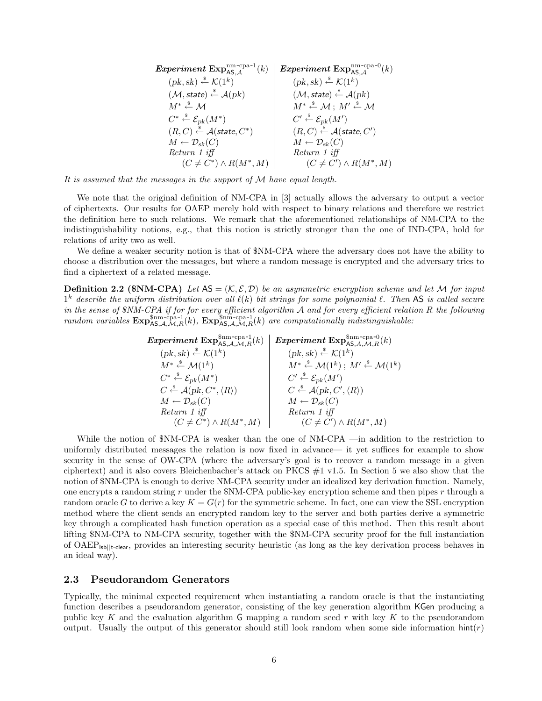

It is assumed that the messages in the support of  $M$  have equal length.

We note that the original definition of NM-CPA in [3] actually allows the adversary to output a vector of ciphertexts. Our results for OAEP merely hold with respect to binary relations and therefore we restrict the definition here to such relations. We remark that the aforementioned relationships of NM-CPA to the indistinguishability notions, e.g., that this notion is strictly stronger than the one of IND-CPA, hold for relations of arity two as well.

We define a weaker security notion is that of \$NM-CPA where the adversary does not have the ability to choose a distribution over the messages, but where a random message is encrypted and the adversary tries to find a ciphertext of a related message.

**Definition 2.2 (\$NM-CPA)** Let  $AS = (K, \mathcal{E}, \mathcal{D})$  be an asymmetric encryption scheme and let M for input  $1^k$  describe the uniform distribution over all  $\ell(k)$  bit strings for some polynomial  $\ell$ . Then AS is called secure in the sense of  $\mathcal{S}NM$ -CPA if for for every efficient algorithm  $\mathcal A$  and for every efficient relation  $R$  the following random variables  $\exp_{AS,A,M,R}^{\text{Sim-cpa-1}}(k)$ ,  $\exp_{AS,A,M,R}^{\text{Sim-cpa-1}}(k)$  are computationally indistinguishable:



While the notion of  $N$ M-CPA is weaker than the one of NM-CPA —in addition to the restriction to uniformly distributed messages the relation is now fixed in advance— it yet suffices for example to show security in the sense of OW-CPA (where the adversary's goal is to recover a random message in a given ciphertext) and it also covers Bleichenbacher's attack on PKCS  $#1$  v1.5. In Section 5 we also show that the notion of \$NM-CPA is enough to derive NM-CPA security under an idealized key derivation function. Namely, one encrypts a random string  $r$  under the \$NM-CPA public-key encryption scheme and then pipes  $r$  through a random oracle G to derive a key  $K = G(r)$  for the symmetric scheme. In fact, one can view the SSL encryption method where the client sends an encrypted random key to the server and both parties derive a symmetric key through a complicated hash function operation as a special case of this method. Then this result about lifting \$NM-CPA to NM-CPA security, together with the \$NM-CPA security proof for the full instantiation of OAEP<sub>lsb||t-clear</sub>, provides an interesting security heuristic (as long as the key derivation process behaves in an ideal way).

#### 2.3 Pseudorandom Generators

Typically, the minimal expected requirement when instantiating a random oracle is that the instantiating function describes a pseudorandom generator, consisting of the key generation algorithm KGen producing a public key K and the evaluation algorithm G mapping a random seed  $r$  with key K to the pseudorandom output. Usually the output of this generator should still look random when some side information  $\text{hint}(r)$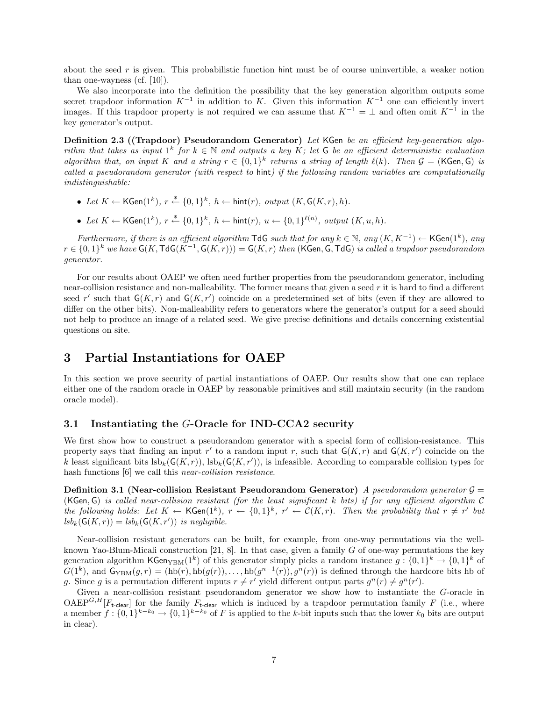about the seed r is given. This probabilistic function hint must be of course uninvertible, a weaker notion than one-wayness (cf. [10]).

We also incorporate into the definition the possibility that the key generation algorithm outputs some secret trapdoor information  $K^{-1}$  in addition to K. Given this information  $K^{-1}$  one can efficiently invert images. If this trapdoor property is not required we can assume that  $K^{-1} = \perp$  and often omit  $K^{-1}$  in the key generator's output.

Definition 2.3 ((Trapdoor) Pseudorandom Generator) Let KGen be an efficient key-generation algorithm that takes as input  $1^k$  for  $k \in \mathbb{N}$  and outputs a key K; let G be an efficient deterministic evaluation algorithm that, on input K and a string  $r \in \{0,1\}^k$  returns a string of length  $\ell(k)$ . Then  $\mathcal{G} = (\mathsf{KGen},\mathsf{G})$  is called a pseudorandom generator (with respect to hint) if the following random variables are computationally indistinguishable:

- Let  $K \leftarrow \mathsf{KGen}(1^k)$ ,  $r \stackrel{\$}{\leftarrow} \{0,1\}^k$ ,  $h \leftarrow \mathsf{hint}(r)$ , output  $(K, \mathsf{G}(K, r), h)$ .
- Let  $K \leftarrow \mathsf{KGen}(1^k)$ ,  $r \stackrel{\$}{\leftarrow} \{0,1\}^k$ ,  $h \leftarrow \mathsf{hint}(r)$ ,  $u \leftarrow \{0,1\}^{\ell(n)}$ , output  $(K, u, h)$ .

Furthermore, if there is an efficient algorithm TdG such that for any  $k \in \mathbb{N}$ , any  $(K, K^{-1}) \leftarrow \mathsf{KGen}(1^k)$ , any  $r \in \{0,1\}^k$  we have  $\mathsf{G}(K,\mathsf{TdG}(K^{-1},\mathsf{G}(K,r))) = \mathsf{G}(K,r)$  then (KGen, G, TdG) is called a trapdoor pseudorandom generator.

For our results about OAEP we often need further properties from the pseudorandom generator, including near-collision resistance and non-malleability. The former means that given a seed  $r$  it is hard to find a different seed r' such that  $G(K, r)$  and  $G(K, r')$  coincide on a predetermined set of bits (even if they are allowed to differ on the other bits). Non-malleability refers to generators where the generator's output for a seed should not help to produce an image of a related seed. We give precise definitions and details concerning existential questions on site.

### 3 Partial Instantiations for OAEP

In this section we prove security of partial instantiations of OAEP. Our results show that one can replace either one of the random oracle in OAEP by reasonable primitives and still maintain security (in the random oracle model).

#### 3.1 Instantiating the G-Oracle for IND-CCA2 security

We first show how to construct a pseudorandom generator with a special form of collision-resistance. This property says that finding an input r' to a random input r, such that  $\mathsf{G}(K,r)$  and  $\mathsf{G}(K,r')$  coincide on the k least significant bits  $\text{lsb}_k(\mathsf{G}(K,r))$ ,  $\text{lsb}_k(\mathsf{G}(K,r'))$ , is infeasible. According to comparable collision types for hash functions [6] we call this *near-collision resistance*.

Definition 3.1 (Near-collision Resistant Pseudorandom Generator) A pseudorandom generator  $\mathcal{G} =$ (KGen, G) is called near-collision resistant (for the least significant k bits) if for any efficient algorithm  $\mathcal C$ the following holds: Let  $K \leftarrow \mathsf{KGen}(1^k)$ ,  $r \leftarrow \{0,1\}^k$ ,  $r' \leftarrow \mathcal{C}(K,r)$ . Then the probability that  $r \neq r'$  but  $lsb_k(G(K,r)) = lsb_k(G(K,r'))$  is negligible.

Near-collision resistant generators can be built, for example, from one-way permutations via the wellknown Yao-Blum-Micali construction  $[21, 8]$ . In that case, given a family G of one-way permutations the key generation algorithm  $\mathsf{KGen}_{\mathrm{YBM}}(1^k)$  of this generator simply picks a random instance  $g: \{0,1\}^k \to \{0,1\}^k$  of  $G(1^k)$ , and  $G_{YBM}(g,r) = (hb(r), hb(g(r)), \ldots, hb(g^{n-1}(r)), g^n(r))$  is defined through the hardcore bits hb of g. Since g is a permutation different inputs  $r \neq r'$  yield different output parts  $g^{n}(r) \neq g^{n}(r')$ .

Given a near-collision resistant pseudorandom generator we show how to instantiate the G-oracle in OAEP<sup>G,H</sup>[ $F_{t-\text{clear}}$ ] for the family  $F_{t-\text{clear}}$  which is induced by a trapdoor permutation family F (i.e., where a member  $f: \{0,1\}^{k-k_0} \to \{0,1\}^{k-k_0}$  of F is applied to the k-bit inputs such that the lower  $k_0$  bits are output in clear).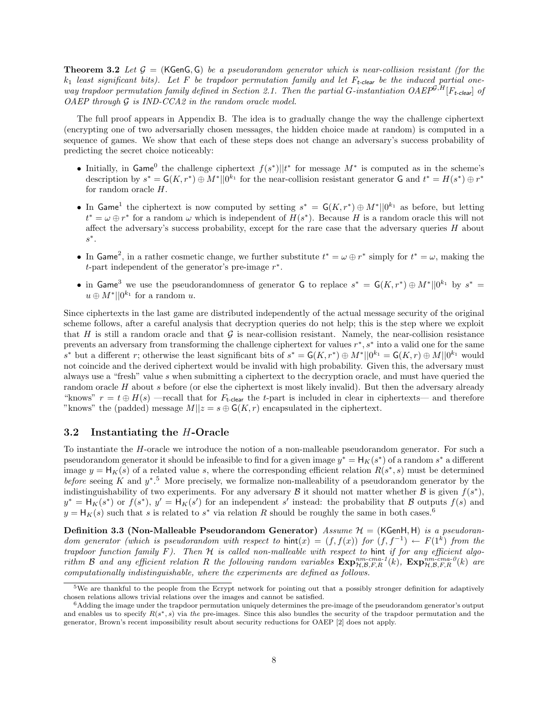**Theorem 3.2** Let  $\mathcal{G} = (\mathsf{KGenG}, \mathsf{G})$  be a pseudorandom generator which is near-collision resistant (for the  $k_1$  least significant bits). Let F be trapdoor permutation family and let  $F_{t-\text{clear}}$  be the induced partial oneway trapdoor permutation family defined in Section 2.1. Then the partial G-instantiation  $OAEP^{G,H}[F_{t-\text{clear}}]$  of  $OAEP$  through  $G$  is IND-CCA2 in the random oracle model.

The full proof appears in Appendix B. The idea is to gradually change the way the challenge ciphertext (encrypting one of two adversarially chosen messages, the hidden choice made at random) is computed in a sequence of games. We show that each of these steps does not change an adversary's success probability of predicting the secret choice noticeably:

- Initially, in Game<sup>0</sup> the challenge ciphertext  $f(s^*)||t^*$  for message  $M^*$  is computed as in the scheme's description by  $s^* = \mathsf{G}(K,r^*) \oplus M^* || 0^{k_1}$  for the near-collision resistant generator G and  $t^* = H(s^*) \oplus r^*$ for random oracle H.
- In Game<sup>1</sup> the ciphertext is now computed by setting  $s^* = G(K, r^*) \oplus M^* || 0^{k_1}$  as before, but letting  $t^* = \omega \oplus r^*$  for a random  $\omega$  which is independent of  $H(s^*)$ . Because H is a random oracle this will not affect the adversary's success probability, except for the rare case that the adversary queries H about  $s^*$ .
- In Game<sup>2</sup>, in a rather cosmetic change, we further substitute  $t^* = \omega \oplus r^*$  simply for  $t^* = \omega$ , making the  $t$ -part independent of the generator's pre-image  $r^*$ .
- in Game<sup>3</sup> we use the pseudorandomness of generator G to replace  $s^* = G(K, r^*) \oplus M^* || 0^{k_1}$  by  $s^* =$  $u \oplus M^* \parallel 0^{k_1}$  for a random u.

Since ciphertexts in the last game are distributed independently of the actual message security of the original scheme follows, after a careful analysis that decryption queries do not help; this is the step where we exploit that H is still a random oracle and that  $G$  is near-collision resistant. Namely, the near-collision resistance prevents an adversary from transforming the challenge ciphertext for values  $r^*$ ,  $s^*$  into a valid one for the same s<sup>\*</sup> but a different r; otherwise the least significant bits of  $s^* = G(K, r^*) \oplus M^* ||0^{k_1} = G(K, r) \oplus M||0^{k_1}$  would not coincide and the derived ciphertext would be invalid with high probability. Given this, the adversary must always use a "fresh" value s when submitting a ciphertext to the decryption oracle, and must have queried the random oracle H about s before (or else the ciphertext is most likely invalid). But then the adversary already "knows"  $r = t \oplus H(s)$  —recall that for  $F_{t-\text{clear}}$  the t-part is included in clear in ciphertexts— and therefore "knows" the (padded) message  $M||z = s \oplus G(K, r)$  encapsulated in the ciphertext.

#### 3.2 Instantiating the H-Oracle

To instantiate the H-oracle we introduce the notion of a non-malleable pseudorandom generator. For such a pseudorandom generator it should be infeasible to find for a given image  $y^* = H_K(s^*)$  of a random  $s^*$  a different image  $y = H_K(s)$  of a related value s, where the corresponding efficient relation  $R(s^*, s)$  must be determined before seeing K and  $y^*$ .<sup>5</sup> More precisely, we formalize non-malleability of a pseudorandom generator by the indistinguishability of two experiments. For any adversary  $\beta$  it should not matter whether  $\beta$  is given  $f(s^*)$ ,  $y^* = H_K(s^*)$  or  $f(s^*)$ ,  $y' = H_K(s')$  for an independent s' instead: the probability that B outputs  $f(s)$  and  $y = H<sub>K</sub>(s)$  such that s is related to s<sup>\*</sup> via relation R should be roughly the same in both cases.<sup>6</sup>

**Definition 3.3 (Non-Malleable Pseudorandom Generator)** Assume  $\mathcal{H} = (K\text{GenH}, H)$  is a pseudorandom generator (which is pseudorandom with respect to  $\text{hint}(x) = (f, f(x))$  for  $(f, f^{-1}) \leftarrow F(1^k)$  from the trapdoor function family F). Then  $H$  is called non-malleable with respect to hint if for any efficient algorithm B and any efficient relation R the following random variables  $\text{Exp}_{\mathcal{H},\mathcal{B},F,R}^{nm-cma-1}(k)$ ,  $\text{Exp}_{\mathcal{H},\mathcal{B},F,R}^{nm-cma-0}(k)$  are computationally indistinguishable, where the experiments are defined as follows.

<sup>&</sup>lt;sup>5</sup>We are thankful to the people from the Ecrypt network for pointing out that a possibly stronger definition for adaptively chosen relations allows trivial relations over the images and cannot be satisfied.

 $6$ Adding the image under the trapdoor permutation uniquely determines the pre-image of the pseudorandom generator's output and enables us to specify  $R(s^*, s)$  via the pre-images. Since this also bundles the security of the trapdoor permutation and the generator, Brown's recent impossibility result about security reductions for OAEP [2] does not apply.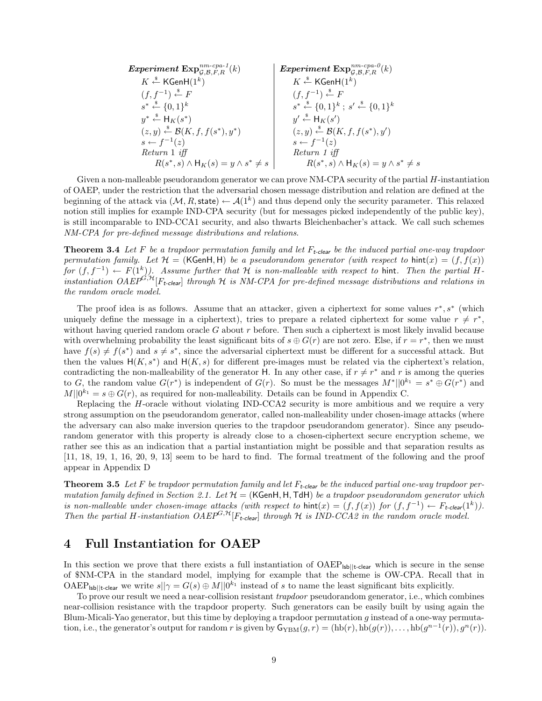| Experiment                                             | Exp <sub>G,B,F,R</sub>                                |
|--------------------------------------------------------|-------------------------------------------------------|
| $K \stackrel{*}{\leftarrow} \text{KGenH}(1^k)$         | $K \stackrel{*}{\leftarrow} \text{KGenH}(1^k)$        |
| $(f, f^{-1}) \stackrel{*}{\leftarrow} F$               | $(f, f^{-1}) \stackrel{*}{\leftarrow} F$              |
| $s^* \stackrel{*}{\leftarrow} \{0,1\}^k$               | $(f, f^{-1}) \stackrel{*}{\leftarrow} F$              |
| $y^* \stackrel{*}{\leftarrow} H_K(s^*)$                | $y' \stackrel{*}{\leftarrow} H_K(s')$                 |
| $(z, y) \stackrel{*}{\leftarrow} B(K, f, f(s^*), y^*)$ | $(z, y) \stackrel{*}{\leftarrow} B(K, f, f(s^*), y')$ |
| $s \leftarrow f^{-1}(z)$                               | $l$ Return 1 iff                                      |
| $R(s^*, s) \wedge H_K(s) = y \wedge s^* \neq s$        | $R(s^*, s) \wedge H_K(s) = y \wedge s^* \neq s$       |

Given a non-malleable pseudorandom generator we can prove NM-CPA security of the partial H-instantiation of OAEP, under the restriction that the adversarial chosen message distribution and relation are defined at the beginning of the attack via  $(M, R, \text{state}) \leftarrow \mathcal{A}(1^k)$  and thus depend only the security parameter. This relaxed notion still implies for example IND-CPA security (but for messages picked independently of the public key), is still incomparable to IND-CCA1 security, and also thwarts Bleichenbacher's attack. We call such schemes NM-CPA for pre-defined message distributions and relations.

**Theorem 3.4** Let F be a trapdoor permutation family and let  $F_{\text{t-clear}}$  be the induced partial one-way trapdoor permutation family. Let  $\mathcal{H} = (KGenH, H)$  be a pseudorandom generator (with respect to hint(x) =  $(f, f(x))$ for  $(f, f^{-1}) \leftarrow F(1^k)$ . Assume further that H is non-malleable with respect to hint. Then the partial Hinstantiation  $OAEP^{G,H}[F_{t-\text{clear}}]$  through H is NM-CPA for pre-defined message distributions and relations in the random oracle model.

The proof idea is as follows. Assume that an attacker, given a ciphertext for some values  $r^*, s^*$  (which uniquely define the message in a ciphertext), tries to prepare a related ciphertext for some value  $r \neq r^*$ , without having queried random oracle G about  $r$  before. Then such a ciphertext is most likely invalid because with overwhelming probability the least significant bits of  $s \oplus G(r)$  are not zero. Else, if  $r = r^*$ , then we must have  $f(s) \neq f(s^*)$  and  $s \neq s^*$ , since the adversarial ciphertext must be different for a successful attack. But then the values  $H(K, s^*)$  and  $H(K, s)$  for different pre-images must be related via the ciphertext's relation, contradicting the non-malleability of the generator H. In any other case, if  $r \neq r^*$  and r is among the queries to G, the random value  $G(r^*)$  is independent of  $G(r)$ . So must be the messages  $M^*||0^{k_1} = s^* \oplus G(r^*)$  and  $M||0^{k_1} = s \oplus G(r)$ , as required for non-malleability. Details can be found in Appendix C.

Replacing the H-oracle without violating IND-CCA2 security is more ambitious and we require a very strong assumption on the pseudorandom generator, called non-malleability under chosen-image attacks (where the adversary can also make inversion queries to the trapdoor pseudorandom generator). Since any pseudorandom generator with this property is already close to a chosen-ciphertext secure encryption scheme, we rather see this as an indication that a partial instantiation might be possible and that separation results as [11, 18, 19, 1, 16, 20, 9, 13] seem to be hard to find. The formal treatment of the following and the proof appear in Appendix D

**Theorem 3.5** Let F be trapdoor permutation family and let  $F_{t-\text{clear}}$  be the induced partial one-way trapdoor permutation family defined in Section 2.1. Let  $\mathcal{H} =$  (KGenH, H, TdH) be a trapdoor pseudorandom generator which is non-malleable under chosen-image attacks (with respect to  $\text{hint}(x) = (f, f(x))$  for  $(f, f^{-1}) \leftarrow F_{t-\text{clear}}(1^k)$ ). Then the partial H-instantiation  $O A E P^{G,\mathcal{H}}[F_{t-\text{clear}}]$  through H is IND-CCA2 in the random oracle model.

### 4 Full Instantiation for OAEP

In this section we prove that there exists a full instantiation of  $OAEP_{\text{lsb}||t-\text{clear}}$  which is secure in the sense of \$NM-CPA in the standard model, implying for example that the scheme is OW-CPA. Recall that in OAEP<sub>lsb||t-clear</sub> we write  $s||\gamma = G(s) \oplus M||0^{k_1}$  instead of s to name the least significant bits explicitly.

To prove our result we need a near-collision resistant trapdoor pseudorandom generator, i.e., which combines near-collision resistance with the trapdoor property. Such generators can be easily built by using again the Blum-Micali-Yao generator, but this time by deploying a trapdoor permutation  $g$  instead of a one-way permutation, i.e., the generator's output for random r is given by  $G_{YBM}(g,r) = (hb(r), hb(g(r)), \ldots, hb(g^{n-1}(r)), g^{n}(r)).$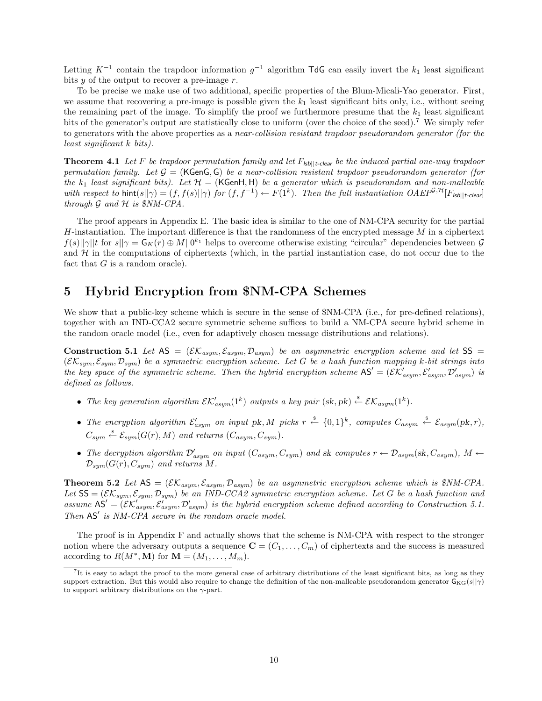Letting  $K^{-1}$  contain the trapdoor information  $g^{-1}$  algorithm TdG can easily invert the  $k_1$  least significant bits  $y$  of the output to recover a pre-image  $r$ .

To be precise we make use of two additional, specific properties of the Blum-Micali-Yao generator. First, we assume that recovering a pre-image is possible given the  $k_1$  least significant bits only, i.e., without seeing the remaining part of the image. To simplify the proof we furthermore presume that the  $k_1$  least significant bits of the generator's output are statistically close to uniform (over the choice of the seed).<sup>7</sup> We simply refer to generators with the above properties as a near-collision resistant trapdoor pseudorandom generator (for the least significant k bits).

**Theorem 4.1** Let F be trapdoor permutation family and let  $F_{\text{lsb||t-clear}}$  be the induced partial one-way trapdoor permutation family. Let  $\mathcal{G} = (\mathsf{KGenG}, \mathsf{G})$  be a near-collision resistant trapdoor pseudorandom generator (for the  $k_1$  least significant bits). Let  $H = (KGenH, H)$  be a generator which is pseudorandom and non-malleable with respect to hint $(s||\gamma) = (f, f(s)||\gamma)$  for  $(f, f^{-1}) \leftarrow F(1^k)$ . Then the full instantiation  $OAEP^{\mathcal{G},\mathcal{H}}[F_{\mathsf{Ish}||\mathsf{t}-\mathsf{clear}}]$ through  $\mathcal G$  and  $\mathcal H$  is \$NM-CPA.

The proof appears in Appendix E. The basic idea is similar to the one of NM-CPA security for the partial  $H$ -instantiation. The important difference is that the randomness of the encrypted message  $M$  in a ciphertext  $f(s)||\gamma||t$  for  $s||\gamma = \mathsf{G}_K(r) \oplus M||0^{k_1}$  helps to overcome otherwise existing "circular" dependencies between  $\mathcal G$ and  $H$  in the computations of ciphertexts (which, in the partial instantiation case, do not occur due to the fact that  $G$  is a random oracle).

### 5 Hybrid Encryption from \$NM-CPA Schemes

We show that a public-key scheme which is secure in the sense of  $N$ M-CPA (i.e., for pre-defined relations), together with an IND-CCA2 secure symmetric scheme suffices to build a NM-CPA secure hybrid scheme in the random oracle model (i.e., even for adaptively chosen message distributions and relations).

**Construction 5.1** Let  $AS = (EK_{asym}, E_{asym}, D_{asym})$  be an asymmetric encryption scheme and let  $SS =$  $(\mathcal{EK}_{sum}, \mathcal{D}_{sum})$  be a symmetric encryption scheme. Let G be a hash function mapping k-bit strings into the key space of the symmetric scheme. Then the hybrid encryption scheme  $AS' = (EK'_{asym}, \mathcal{E}'_{asym}, \mathcal{D}'_{asym})$  is defined as follows.

- The key generation algorithm  $\mathcal{EK}'_{asym}(1^k)$  outputs a key pair  $(\text{sk}, \text{pk}) \overset{\text{s}}{\leftarrow} \mathcal{EK}_{asym}(1^k)$ .
- The encryption algorithm  $\mathcal{E}'_{asym}$  on input pk, M picks  $r \stackrel{\hspace{0.1em}\mathsf{\scriptscriptstyle\$}}{\leftarrow} \{0,1\}^k$ , computes  $C_{asym} \stackrel{\hspace{0.1em}\mathsf{\scriptscriptstyle\$}}{\leftarrow} \mathcal{E}_{asym}(pk,r)$ ,  $C_{sym} \stackrel{\text{*}}{\leftarrow} \mathcal{E}_{sym}(G(r), M)$  and returns  $(C_{asym}, C_{sym})$ .
- The decryption algorithm  $\mathcal{D}'_{asym}$  on input  $(C_{asym}, C_{sym})$  and sk computes  $r \leftarrow \mathcal{D}_{asym}(sk, C_{asym})$ ,  $M \leftarrow$  $\mathcal{D}_{sum}(G(r), C_{sum})$  and returns M.

**Theorem 5.2** Let  $AS = (EK_{asym}, \mathcal{E}_{asym}, \mathcal{D}_{asym})$  be an asymmetric encryption scheme which is \$NM-CPA. Let  $SS = (EK_{sym}, E_{sym}, D_{sym})$  be an IND-CCA2 symmetric encryption scheme. Let G be a hash function and assume  $AS' = (EK'_{asym}, E'_{asym}, D'_{asym})$  is the hybrid encryption scheme defined according to Construction 5.1. Then AS' is NM-CPA secure in the random oracle model.

The proof is in Appendix F and actually shows that the scheme is NM-CPA with respect to the stronger notion where the adversary outputs a sequence  $\mathbf{C} = (C_1, \ldots, C_m)$  of ciphertexts and the success is measured according to  $R(M^*, M)$  for  $M = (M_1, \ldots, M_m)$ .

<sup>&</sup>lt;sup>7</sup>It is easy to adapt the proof to the more general case of arbitrary distributions of the least significant bits, as long as they support extraction. But this would also require to change the definition of the non-malleable pseudorandom generator  $G_{KG}(s||\gamma)$ to support arbitrary distributions on the  $\gamma$ -part.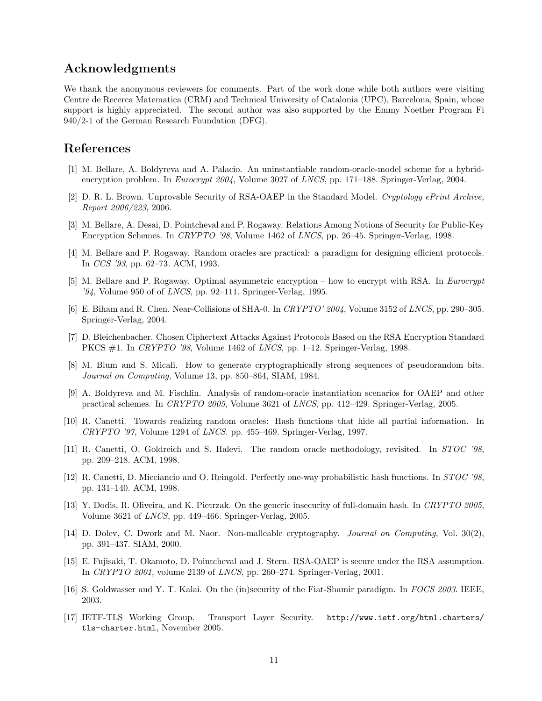### Acknowledgments

We thank the anonymous reviewers for comments. Part of the work done while both authors were visiting Centre de Recerca Matematica (CRM) and Technical University of Catalonia (UPC), Barcelona, Spain, whose support is highly appreciated. The second author was also supported by the Emmy Noether Program Fi 940/2-1 of the German Research Foundation (DFG).

#### References

- [1] M. Bellare, A. Boldyreva and A. Palacio. An uninstantiable random-oracle-model scheme for a hybridencryption problem. In Eurocrypt 2004, Volume 3027 of LNCS, pp. 171–188. Springer-Verlag, 2004.
- [2] D. R. L. Brown. Unprovable Security of RSA-OAEP in the Standard Model. Cryptology ePrint Archive, Report 2006/223, 2006.
- [3] M. Bellare, A. Desai, D. Pointcheval and P. Rogaway. Relations Among Notions of Security for Public-Key Encryption Schemes. In CRYPTO '98, Volume 1462 of LNCS, pp. 26–45. Springer-Verlag, 1998.
- [4] M. Bellare and P. Rogaway. Random oracles are practical: a paradigm for designing efficient protocols. In CCS '93, pp. 62–73. ACM, 1993.
- [5] M. Bellare and P. Rogaway. Optimal asymmetric encryption how to encrypt with RSA. In Eurocrypt '94, Volume 950 of of  $LNCS$ , pp. 92–111. Springer-Verlag, 1995.
- [6] E. Biham and R. Chen. Near-Collisions of SHA-0. In CRYPTO' 2004, Volume 3152 of LNCS, pp. 290–305. Springer-Verlag, 2004.
- [7] D. Bleichenbacher. Chosen Ciphertext Attacks Against Protocols Based on the RSA Encryption Standard PKCS  $\#1$ . In *CRYPTO '98*, Volume 1462 of *LNCS*, pp. 1–12. Springer-Verlag, 1998.
- [8] M. Blum and S. Micali. How to generate cryptographically strong sequences of pseudorandom bits. Journal on Computing, Volume 13, pp. 850–864, SIAM, 1984.
- [9] A. Boldyreva and M. Fischlin. Analysis of random-oracle instantiation scenarios for OAEP and other practical schemes. In CRYPTO 2005, Volume 3621 of LNCS, pp. 412–429. Springer-Verlag, 2005.
- [10] R. Canetti. Towards realizing random oracles: Hash functions that hide all partial information. In CRYPTO '97, Volume 1294 of LNCS. pp. 455–469. Springer-Verlag, 1997.
- [11] R. Canetti, O. Goldreich and S. Halevi. The random oracle methodology, revisited. In STOC '98, pp. 209–218. ACM, 1998.
- [12] R. Canetti, D. Micciancio and O. Reingold. Perfectly one-way probabilistic hash functions. In STOC '98, pp. 131–140. ACM, 1998.
- [13] Y. Dodis, R. Oliveira, and K. Pietrzak. On the generic insecurity of full-domain hash. In CRYPTO 2005, Volume 3621 of LNCS, pp. 449–466. Springer-Verlag, 2005.
- [14] D. Dolev, C. Dwork and M. Naor. Non-malleable cryptography. Journal on Computing, Vol. 30(2), pp. 391–437. SIAM, 2000.
- [15] E. Fujisaki, T. Okamoto, D. Pointcheval and J. Stern. RSA-OAEP is secure under the RSA assumption. In CRYPTO 2001, volume 2139 of LNCS, pp. 260–274. Springer-Verlag, 2001.
- [16] S. Goldwasser and Y. T. Kalai. On the (in)security of the Fiat-Shamir paradigm. In FOCS 2003. IEEE, 2003.
- [17] IETF-TLS Working Group. Transport Layer Security. http://www.ietf.org/html.charters/ tls-charter.html, November 2005.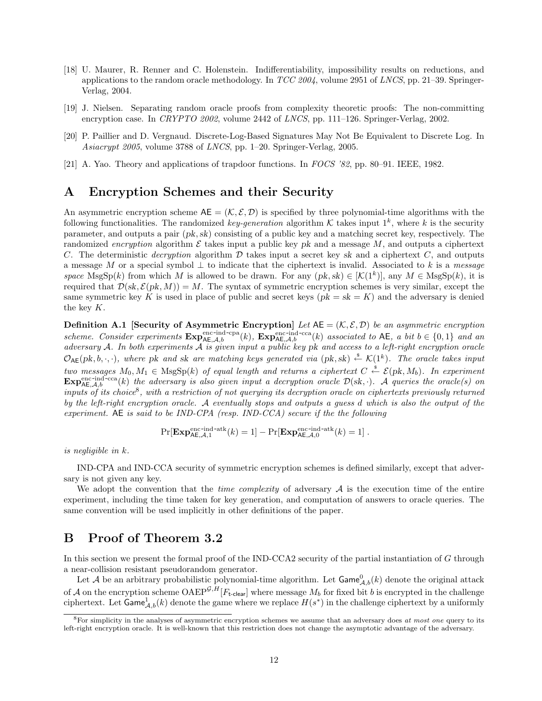- [18] U. Maurer, R. Renner and C. Holenstein. Indifferentiability, impossibility results on reductions, and applications to the random oracle methodology. In  $TCC$  2004, volume 2951 of LNCS, pp. 21–39. Springer-Verlag, 2004.
- [19] J. Nielsen. Separating random oracle proofs from complexity theoretic proofs: The non-committing encryption case. In *CRYPTO 2002*, volume 2442 of *LNCS*, pp. 111–126. Springer-Verlag, 2002.
- [20] P. Paillier and D. Vergnaud. Discrete-Log-Based Signatures May Not Be Equivalent to Discrete Log. In Asiacrypt 2005, volume 3788 of LNCS, pp. 1–20. Springer-Verlag, 2005.
- [21] A. Yao. Theory and applications of trapdoor functions. In FOCS '82, pp. 80–91. IEEE, 1982.

### A Encryption Schemes and their Security

An asymmetric encryption scheme  $AE = (K, \mathcal{E}, \mathcal{D})$  is specified by three polynomial-time algorithms with the following functionalities. The randomized key-generation algorithm K takes input  $1^k$ , where k is the security parameter, and outputs a pair (pk,sk) consisting of a public key and a matching secret key, respectively. The randomized encryption algorithm  $\mathcal E$  takes input a public key pk and a message M, and outputs a ciphertext C. The deterministic *decryption* algorithm  $D$  takes input a secret key sk and a ciphertext C, and outputs a message M or a special symbol  $\perp$  to indicate that the ciphertext is invalid. Associated to k is a message space MsgSp(k) from which M is allowed to be drawn. For any  $(pk, sk) \in [\mathcal{K}(1^k)]$ , any  $M \in \text{MsgSp}(k)$ , it is required that  $\mathcal{D}(sk, \mathcal{E}(pk, M)) = M$ . The syntax of symmetric encryption schemes is very similar, except the same symmetric key K is used in place of public and secret keys  $(pk = sk = K)$  and the adversary is denied the key K.

**Definition A.1 [Security of Asymmetric Encryption]** Let  $AE = (K, \mathcal{E}, \mathcal{D})$  be an asymmetric encryption scheme. Consider experiments  $\mathbf{Exp}_{\mathsf{AE},\mathcal{A},b}^{\text{enc-ind-cpa}}(k)$ ,  $\mathbf{Exp}_{\mathsf{AE},\mathcal{A},b}^{\text{enc-ind-cca}}(k)$  associated to  $\mathsf{AE}, a$  bit  $b \in \{0,1\}$  and an adversary A. In both experiments A is given input a public key pk and access to a left-right encryption oracle  $\mathcal{O}_{\mathsf{AE}}(pk, b, \cdot, \cdot)$ , where pk and sk are matching keys generated via  $(\mathsf{pk}, \mathsf{sk}) \overset{\hspace{0.1em}\mathsf{\scriptscriptstyle\$}}{\leftarrow} \mathcal{K}(1^k)$ . The oracle takes input two messages  $M_0, M_1 \in \text{MsgSp}(k)$  of equal length and returns a ciphertext  $C \stackrel{\text{s}}{\leftarrow} \mathcal{E}(\text{pk}, M_b)$ . In experiment  $\text{Exp}_{\mathsf{AE},\mathcal{A},b}^{\text{enc-ind-cca}}(k)$  the adversary is also given input a decryption oracle  $\mathcal{D}(sk, \cdot)$ . A queries the oracle(s) on inputs of its choice<sup>8</sup>, with a restriction of not querying its decryption oracle on ciphertexts previously returned by the left-right encryption oracle. A eventually stops and outputs a guess d which is also the output of the experiment. AE is said to be IND-CPA (resp. IND-CCA) secure if the the following

$$
\Pr[\mathbf{Exp}_{\mathsf{AE},\mathcal{A},1}^{\text{enc-ind-atk}}(k) = 1] - \Pr[\mathbf{Exp}_{\mathsf{AE},\mathcal{A},0}^{\text{enc-ind-atk}}(k) = 1] .
$$

is negligible in k.

IND-CPA and IND-CCA security of symmetric encryption schemes is defined similarly, except that adversary is not given any key.

We adopt the convention that the *time complexity* of adversary  $A$  is the execution time of the entire experiment, including the time taken for key generation, and computation of answers to oracle queries. The same convention will be used implicitly in other definitions of the paper.

#### B Proof of Theorem 3.2

In this section we present the formal proof of the IND-CCA2 security of the partial instantiation of G through a near-collision resistant pseudorandom generator.

Let A be an arbitrary probabilistic polynomial-time algorithm. Let  $\mathsf{Game}^0_{\mathcal{A},b}(k)$  denote the original attack of A on the encryption scheme OAEP<sup>G,H</sup>[F<sub>t-clear</sub>] where message  $M_b$  for fixed bit b is encrypted in the challenge ciphertext. Let  $\mathsf{Game}^1_{\mathcal{A},b}(k)$  denote the game where we replace  $H(s^*)$  in the challenge ciphertext by a uniformly

 ${}^{8}$  For simplicity in the analyses of asymmetric encryption schemes we assume that an adversary does at most one query to its left-right encryption oracle. It is well-known that this restriction does not change the asymptotic advantage of the adversary.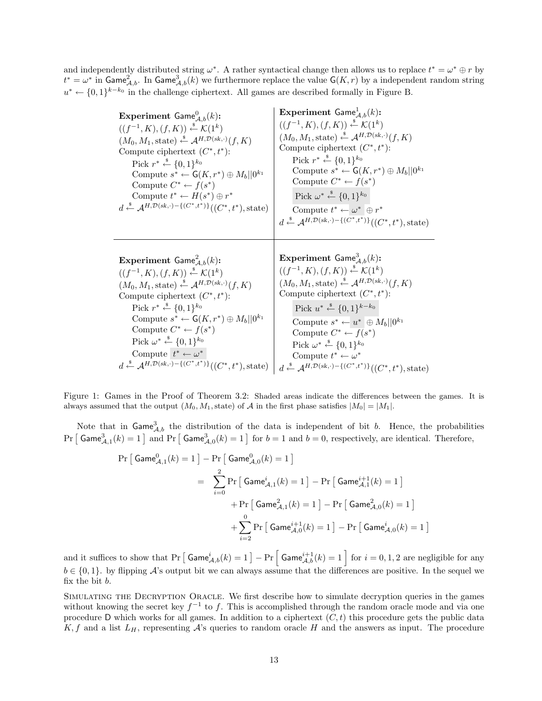and independently distributed string  $\omega^*$ . A rather syntactical change then allows us to replace  $t^* = \omega^* \oplus r$  by  $t^* = \omega^*$  in Game $_{\mathcal{A},b}^2$ . In Game $_{\mathcal{A},b}^3(k)$  we furthermore replace the value  $\mathsf{G}(K,r)$  by a independent random string  $u^* \leftarrow \{0,1\}^{k-k_0}$  in the challenge ciphertext. All games are described formally in Figure B.

| <b>Experiment Game</b> $_{A,b}^{0}(k)$ :<br>$((f^{-1}, K), (f, K)) \stackrel{\$}{\leftarrow} \mathcal{K}(1^k)$<br>$(M_0, M_1, \text{state}) \stackrel{\text{\$}}{\leftarrow} \mathcal{A}^{H, \mathcal{D}(sk, \cdot)}(f, K)$<br>Compute ciphertext $(C^*, t^*)$ :<br>Pick $r^* \stackrel{\$}{\leftarrow} \{0,1\}^{k_0}$<br>Compute $s^* \leftarrow \mathsf{G}(K, r^*) \oplus M_b    0^{k_1})$<br>Compute $C^* \leftarrow f(s^*)$<br>Compute $t^* \leftarrow H(s^*) \oplus r^*$<br>$d \stackrel{\$}{\leftarrow} \mathcal{A}^{H,\mathcal{D}(sk,\cdot) - \{(C^*,t^*)\}}((C^*,t^*),\text{state})$ | <b>Experiment Game</b> $_{A,b}^L(k)$ :<br>$((f^{-1}, K), (f, K)) \stackrel{\$}{\leftarrow} \mathcal{K}(1^k)$<br>$(M_0, M_1, \text{state}) \stackrel{\$}{\leftarrow} \mathcal{A}^{H, \mathcal{D}(sk, \cdot)}(f, K)$<br>Compute ciphertext $(C^*, t^*)$ :<br>Pick $r^* \stackrel{\text{*}}{\leftarrow} \{0,1\}^{k_0}$<br>Compute $s^* \leftarrow \mathsf{G}(K, r^*) \oplus M_b    0^{k_1})$<br>Compute $C^* \leftarrow f(s^*)$<br>Pick $\omega^* \stackrel{\hspace{0.1em}\mathsf{\scriptscriptstyle\$}}{\leftarrow} \{0,1\}^{k_0}$<br>Compute $t^* \leftarrow \omega^* \oplus r^*$<br>$d \stackrel{\$}{\leftarrow} \mathcal{A}^{H,\mathcal{D}(sk,\cdot) - \{ (C^*,t^*) \} }((C^*,t^*),state)$ |
|----------------------------------------------------------------------------------------------------------------------------------------------------------------------------------------------------------------------------------------------------------------------------------------------------------------------------------------------------------------------------------------------------------------------------------------------------------------------------------------------------------------------------------------------------------------------------------------------|---------------------------------------------------------------------------------------------------------------------------------------------------------------------------------------------------------------------------------------------------------------------------------------------------------------------------------------------------------------------------------------------------------------------------------------------------------------------------------------------------------------------------------------------------------------------------------------------------------------------------------------------------------------------------------------------|
| <b>Experiment Game</b> $_{A,b}^2(k)$ :                                                                                                                                                                                                                                                                                                                                                                                                                                                                                                                                                       | <b>Experiment Game</b> $A_{A,b}(k)$ :                                                                                                                                                                                                                                                                                                                                                                                                                                                                                                                                                                                                                                                       |
| $((f^{-1}, K), (f, K)) \stackrel{\ast}{\leftarrow} \mathcal{K}(1^k)$                                                                                                                                                                                                                                                                                                                                                                                                                                                                                                                         | $((f^{-1}, K), (f, K)) \stackrel{\hspace{0.1em}\mathsf{\scriptscriptstyle\$}}{\leftarrow} \mathcal{K}(1^k)$                                                                                                                                                                                                                                                                                                                                                                                                                                                                                                                                                                                 |
| $(M_0, M_1, \text{state}) \stackrel{\text{*}}{\leftarrow} \mathcal{A}^{H, \mathcal{D}(sk, \cdot)}(f, K)$                                                                                                                                                                                                                                                                                                                                                                                                                                                                                     | $(M_0, M_1, \text{state}) \stackrel{\text{\$}}{\leftarrow} \mathcal{A}^{H, \mathcal{D}(sk, \cdot)}(f, K)$                                                                                                                                                                                                                                                                                                                                                                                                                                                                                                                                                                                   |
| Compute ciphertext $(C^*, t^*)$ :                                                                                                                                                                                                                                                                                                                                                                                                                                                                                                                                                            | Compute ciphertext $(C^*, t^*)$ :                                                                                                                                                                                                                                                                                                                                                                                                                                                                                                                                                                                                                                                           |
| Pick $r^* \stackrel{\hspace{0.1em}\mathsf{\scriptscriptstyle\$}}{\leftarrow} \{0,1\}^{k_0}$                                                                                                                                                                                                                                                                                                                                                                                                                                                                                                  | Pick $u^* \stackrel{\hspace{0.1em}\mathsf{\scriptscriptstyle\$}}{\leftarrow} \{0,1\}^{k-k_0}$                                                                                                                                                                                                                                                                                                                                                                                                                                                                                                                                                                                               |
| Compute $s^* \leftarrow \mathsf{G}(K, r^*) \oplus M_b    0^{k_1}$                                                                                                                                                                                                                                                                                                                                                                                                                                                                                                                            | Compute $s^* \leftarrow u^* \oplus M_b    0^{k_1}$                                                                                                                                                                                                                                                                                                                                                                                                                                                                                                                                                                                                                                          |
| Compute $C^* \leftarrow f(s^*)$                                                                                                                                                                                                                                                                                                                                                                                                                                                                                                                                                              | Compute $C^* \leftarrow f(s^*)$                                                                                                                                                                                                                                                                                                                                                                                                                                                                                                                                                                                                                                                             |
| Pick $\omega^* \stackrel{\hspace{0.1em}\mathsf{\scriptscriptstyle\$}}{\leftarrow} \{0,1\}^{k_0}$                                                                                                                                                                                                                                                                                                                                                                                                                                                                                             | Pick $\omega^* \stackrel{\$}{\leftarrow} \{0,1\}^{k_0}$                                                                                                                                                                                                                                                                                                                                                                                                                                                                                                                                                                                                                                     |
| Compute $\,t^*\leftarrow\omega^*\,$                                                                                                                                                                                                                                                                                                                                                                                                                                                                                                                                                          | Compute $t^* \leftarrow \omega^*$                                                                                                                                                                                                                                                                                                                                                                                                                                                                                                                                                                                                                                                           |
| $d \stackrel{\$}{\leftarrow} \mathcal{A}^{H,\mathcal{D}(sk,\cdot) - \{ (C^*,t^*) \} } ((C^*,t^*),\text{state})$                                                                                                                                                                                                                                                                                                                                                                                                                                                                              | $d \stackrel{\$}{\leftarrow} \mathcal{A}^{H,\mathcal{D}(\text{sk},\cdot) - \{(\mathcal{C}^*,t^*)\}}((\mathcal{C}^*,t^*),\text{state})$                                                                                                                                                                                                                                                                                                                                                                                                                                                                                                                                                      |

Figure 1: Games in the Proof of Theorem 3.2: Shaded areas indicate the differences between the games. It is always assumed that the output  $(M_0, M_1, \text{state})$  of A in the first phase satisfies  $|M_0| = |M_1|$ .

Note that in  $\textsf{Game}^3_{\mathcal{A},b}$  the distribution of the data is independent of bit b. Hence, the probabilities  $\Pr\big[\textsf{Game}^3_{\mathcal{A},1}(k)=1\big]$  and  $\Pr\big[\textsf{Game}^3_{\mathcal{A},0}(k)=1\big]$  for  $b=1$  and  $b=0$ , respectively, are identical. Therefore,

$$
\begin{aligned} \Pr\big[\ \mathsf{Game}^0_{\mathcal{A},1}(k)=1\ \big]-\Pr\big[\ \mathsf{Game}^0_{\mathcal{A},0}(k)=1\ \big] \\ = & \ \sum_{i=0}^2 \Pr\big[\ \mathsf{Game}^i_{\mathcal{A},1}(k)=1\ \big] -\Pr\big[\ \mathsf{Game}^{i+1}_{\mathcal{A},1}(k)=1\ \big] \\ & +\Pr\big[\ \mathsf{Game}^2_{\mathcal{A},1}(k)=1\ \big] -\Pr\big[\ \mathsf{Game}^2_{\mathcal{A},0}(k)=1\ \big] \\ & +\sum_{i=2}^0 \Pr\big[\ \mathsf{Game}^{i+1}_{\mathcal{A},0}(k)=1\ \big] -\Pr\big[\ \mathsf{Game}^i_{\mathcal{A},0}(k)=1\ \big] \end{aligned}
$$

and it suffices to show that  $Pr\left[$  Game $_{A,b}^{i}(k) = 1\right] - Pr\left[$  Game $_{\mathcal{A},b}^{i+1}(k) = 1\right]$  for  $i = 0,1,2$  are negligible for any  $b \in \{0, 1\}$ . by flipping A's output bit we can always assume that the differences are positive. In the sequel we fix the bit b.

Simulating the Decryption Oracle. We first describe how to simulate decryption queries in the games without knowing the secret key  $f^{-1}$  to f. This is accomplished through the random oracle mode and via one procedure D which works for all games. In addition to a ciphertext  $(C, t)$  this procedure gets the public data K, f and a list  $L_H$ , representing A's queries to random oracle H and the answers as input. The procedure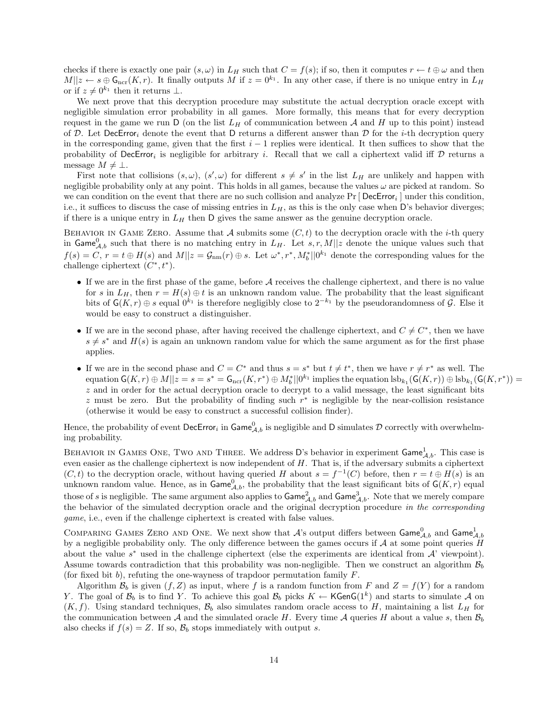checks if there is exactly one pair  $(s, \omega)$  in  $L_H$  such that  $C = f(s)$ ; if so, then it computes  $r \leftarrow t \oplus \omega$  and then  $M||z \leftarrow s \oplus \mathsf{G}_{\rm ncr}(K,r)$ . It finally outputs M if  $z = 0^{k_1}$ . In any other case, if there is no unique entry in  $L_H$ or if  $z \neq 0^{k_1}$  then it returns  $\perp$ .

We next prove that this decryption procedure may substitute the actual decryption oracle except with negligible simulation error probability in all games. More formally, this means that for every decryption request in the game we run D (on the list  $L_H$  of communication between A and H up to this point) instead of D. Let DecError<sub>i</sub> denote the event that D returns a different answer than D for the *i*-th decryption query in the corresponding game, given that the first  $i - 1$  replies were identical. It then suffices to show that the probability of DecError<sub>i</sub> is negligible for arbitrary *i*. Recall that we call a ciphertext valid iff  $D$  returns a message  $M \neq \perp$ .

First note that collisions  $(s, \omega)$ ,  $(s', \omega)$  for different  $s \neq s'$  in the list  $L_H$  are unlikely and happen with negligible probability only at any point. This holds in all games, because the values  $\omega$  are picked at random. So we can condition on the event that there are no such collision and analyze  $Pr[$  DecError<sub>i</sub>  $]$  under this condition, i.e., it suffices to discuss the case of missing entries in  $L_H$ , as this is the only case when D's behavior diverges; if there is a unique entry in  $L_H$  then D gives the same answer as the genuine decryption oracle.

BEHAVIOR IN GAME ZERO. Assume that A submits some  $(C, t)$  to the decryption oracle with the *i*-th query in Game<sub> $A,b$ </sub> such that there is no matching entry in  $L_H$ . Let s, r, M||z denote the unique values such that  $f(s) = C, r = t \oplus H(s)$  and  $M||z = \mathcal{G}_{nm}(r) \oplus s$ . Let  $\omega^*, r^*, M_b^*||0^{k_1}$  denote the corresponding values for the challenge ciphertext  $(C^*, t^*)$ .

- If we are in the first phase of the game, before A receives the challenge ciphertext, and there is no value for s in  $L_H$ , then  $r = H(s) \oplus t$  is an unknown random value. The probability that the least significant bits of  $\mathsf{G}(K,r)\oplus s$  equal  $0^{k_1}$  is therefore negligibly close to  $2^{-k_1}$  by the pseudorandomness of  $\mathcal{G}$ . Else it would be easy to construct a distinguisher.
- If we are in the second phase, after having received the challenge ciphertext, and  $C \neq C^*$ , then we have  $s \neq s^*$  and  $H(s)$  is again an unknown random value for which the same argument as for the first phase applies.
- If we are in the second phase and  $C = C^*$  and thus  $s = s^*$  but  $t \neq t^*$ , then we have  $r \neq r^*$  as well. The  $\operatorname{equation}$   $\mathsf{G}(K,r)\oplus M||z=s=s^*=\mathsf{G}_{\rm ncr}(K,r^*)\oplus M_b^*||0^{k_1}$  implies the equation  $\operatorname{lsb}_{k_1}(\mathsf{G}(K,r))\oplus \operatorname{lsb}_{k_1}(\mathsf{G}(K,r^*))=0$ z and in order for the actual decryption oracle to decrypt to a valid message, the least significant bits z must be zero. But the probability of finding such  $r^*$  is negligible by the near-collision resistance (otherwise it would be easy to construct a successful collision finder).

Hence, the probability of event  $\mathsf{DecError}_i$  in  $\mathsf{Game}^0_{\mathcal{A},b}$  is negligible and  $\mathsf D$  simulates  $\mathcal D$  correctly with overwhelming probability.

BEHAVIOR IN GAMES ONE, TWO AND THREE. We address D's behavior in experiment  $\mathsf{Game}^1_{\mathcal{A},b}$ . This case is even easier as the challenge ciphertext is now independent of H. That is, if the adversary submits a ciphertext  $(C, t)$  to the decryption oracle, without having queried H about  $s = f^{-1}(C)$  before, then  $r = t \oplus H(s)$  is an unknown random value. Hence, as in  $\mathsf{Game}^0_{\mathcal{A},b}$ , the probability that the least significant bits of  $\mathsf{G}(K,r)$  equal those of s is negligible. The same argument also applies to  $\mathsf{Game}^2_{\mathcal{A},b}$  and  $\mathsf{Game}^3_{\mathcal{A},b}$ . Note that we merely compare the behavior of the simulated decryption oracle and the original decryption procedure in the corresponding game, i.e., even if the challenge ciphertext is created with false values.

COMPARING GAMES ZERO AND ONE. We next show that  $\mathcal{A}$ 's output differs between  $\mathsf{Game}^0_{\mathcal{A},b}$  and  $\mathsf{Game}^1_{\mathcal{A},b}$ by a negligible probability only. The only difference between the games occurs if  $A$  at some point queries  $H$ about the value  $s^*$  used in the challenge ciphertext (else the experiments are identical from  $\mathcal{A}'$  viewpoint). Assume towards contradiction that this probability was non-negligible. Then we construct an algorithm  $B_b$ (for fixed bit b), refuting the one-wayness of trapdoor permutation family  $F$ .

Algorithm  $\mathcal{B}_b$  is given  $(f, Z)$  as input, where f is a random function from F and  $Z = f(Y)$  for a random Y. The goal of  $\mathcal{B}_b$  is to find Y. To achieve this goal  $\mathcal{B}_b$  picks  $K \leftarrow \mathsf{KGenG}(1^k)$  and starts to simulate A on  $(K, f)$ . Using standard techniques,  $\mathcal{B}_b$  also simulates random oracle access to H, maintaining a list  $L_H$  for the communication between A and the simulated oracle H. Every time A queries H about a value s, then  $\mathcal{B}_b$ also checks if  $f(s) = Z$ . If so,  $\mathcal{B}_b$  stops immediately with output s.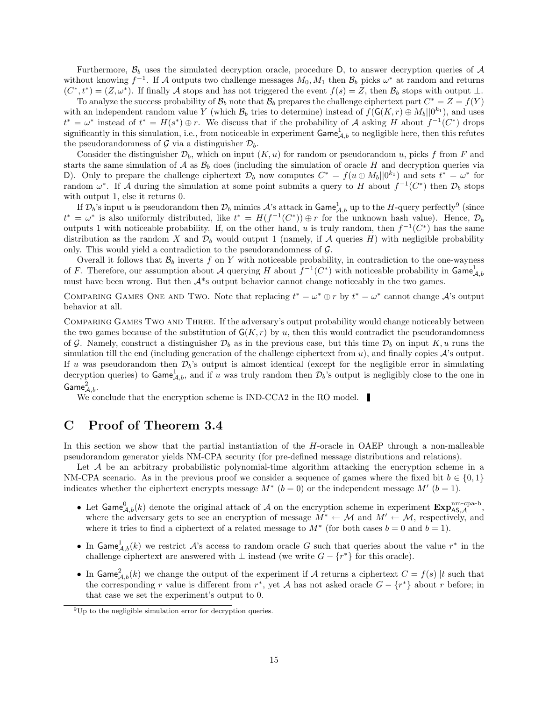Furthermore,  $\mathcal{B}_b$  uses the simulated decryption oracle, procedure D, to answer decryption queries of A without knowing  $f^{-1}$ . If A outputs two challenge messages  $M_0, M_1$  then  $B_b$  picks  $\omega^*$  at random and returns  $(C^*, t^*) = (Z, \omega^*)$ . If finally A stops and has not triggered the event  $f(s) = Z$ , then  $\mathcal{B}_b$  stops with output  $\perp$ .

To analyze the success probability of  $\mathcal{B}_b$  note that  $\mathcal{B}_b$  prepares the challenge ciphertext part  $C^* = Z = f(Y)$ with an independent random value Y (which  $\mathcal{B}_b$  tries to determine) instead of  $f(\mathsf{G}(K,r) \oplus M_b||0^{k_1})$ , and uses  $t^* = \omega^*$  instead of  $t^* = H(s^*) \oplus r$ . We discuss that if the probability of A asking H about  $f^{-1}(C^*)$  drops significantly in this simulation, i.e., from noticeable in experiment  $\text{Game}^1_{\mathcal{A},b}$  to negligible here, then this refutes the pseudorandomness of  $\mathcal G$  via a distinguisher  $\mathcal D_b$ .

Consider the distinguisher  $\mathcal{D}_b$ , which on input  $(K, u)$  for random or pseudorandom u, picks f from F and starts the same simulation of A as  $\mathcal{B}_b$  does (including the simulation of oracle H and decryption queries via D). Only to prepare the challenge ciphertext  $\mathcal{D}_b$  now computes  $C^* = f(u \oplus M_b||0^{k_1})$  and sets  $t^* = \omega^*$  for random  $\omega^*$ . If A during the simulation at some point submits a query to H about  $f^{-1}(C^*)$  then  $\mathcal{D}_b$  stops with output 1, else it returns 0.

If  $\mathcal{D}_b$ 's input  $u$  is pseudorandom then  $\mathcal{D}_b$  mimics  $\mathcal{A}$ 's attack in  $\mathsf{Game}^1_{\mathcal{A},b}$  up to the  $H$ -query perfectly $^9$  (since  $t^* = \omega^*$  is also uniformly distributed, like  $t^* = H(f^{-1}(C^*)) \oplus r$  for the unknown hash value). Hence,  $\mathcal{D}_b$ outputs 1 with noticeable probability. If, on the other hand, u is truly random, then  $f^{-1}(C^*)$  has the same distribution as the random X and  $\mathcal{D}_b$  would output 1 (namely, if A queries H) with negligible probability only. This would yield a contradiction to the pseudorandomness of  $\mathcal{G}$ .

Overall it follows that  $B_b$  inverts f on Y with noticeable probability, in contradiction to the one-wayness of F. Therefore, our assumption about A querying H about  $f^{-1}(C^*)$  with noticeable probability in  $\textsf{Game}^1_{\mathcal{A},b}$ must have been wrong. But then  $A^*s$  output behavior cannot change noticeably in the two games.

COMPARING GAMES ONE AND TWO. Note that replacing  $t^* = \omega^* \oplus r$  by  $t^* = \omega^*$  cannot change A's output behavior at all.

Comparing Games Two and Three. If the adversary's output probability would change noticeably between the two games because of the substitution of  $G(K, r)$  by u, then this would contradict the pseudorandomness of G. Namely, construct a distinguisher  $\mathcal{D}_b$  as in the previous case, but this time  $\mathcal{D}_b$  on input K, u runs the simulation till the end (including generation of the challenge ciphertext from  $u$ ), and finally copies  $\mathcal{A}$ 's output. If u was pseudorandom then  $\mathcal{D}_b$ 's output is almost identical (except for the negligible error in simulating decryption queries) to  $\mathsf{Game}^1_{\mathcal{A},b}$ , and if u was truly random then  $\mathcal{D}_b$ 's output is negligibly close to the one in  $\mathsf{Game}^2_{\mathcal{A},b}.$ 

We conclude that the encryption scheme is IND-CCA2 in the RO model.

## C Proof of Theorem 3.4

In this section we show that the partial instantiation of the H-oracle in OAEP through a non-malleable pseudorandom generator yields NM-CPA security (for pre-defined message distributions and relations).

Let  $A$  be an arbitrary probabilistic polynomial-time algorithm attacking the encryption scheme in a NM-CPA scenario. As in the previous proof we consider a sequence of games where the fixed bit  $b \in \{0,1\}$ indicates whether the ciphertext encrypts message  $M^*$  ( $b = 0$ ) or the independent message  $M'(b = 1)$ .

- Let  $\textsf{Game}^0_{\mathcal{A},b}(k)$  denote the original attack of  $\mathcal A$  on the encryption scheme in experiment  $\text{Exp}^{\text{nm-cpa-b}}_{\text{AS},\mathcal{A}},$ where the adversary gets to see an encryption of message  $M^* \leftarrow M$  and  $M' \leftarrow M$ , respectively, and where it tries to find a ciphertext of a related message to  $M^*$  (for both cases  $b = 0$  and  $b = 1$ ).
- In Game $^1_{A,b}(k)$  we restrict A's access to random oracle G such that queries about the value  $r^*$  in the challenge ciphertext are answered with  $\perp$  instead (we write  $G - \{r^*\}$  for this oracle).
- In Game $_{\mathcal{A},b}^2(k)$  we change the output of the experiment if A returns a ciphertext  $C = f(s) || t$  such that the corresponding r value is different from  $r^*$ , yet A has not asked oracle  $G - \{r^*\}$  about r before; in that case we set the experiment's output to 0.

 $^{9}$ Up to the negligible simulation error for decryption queries.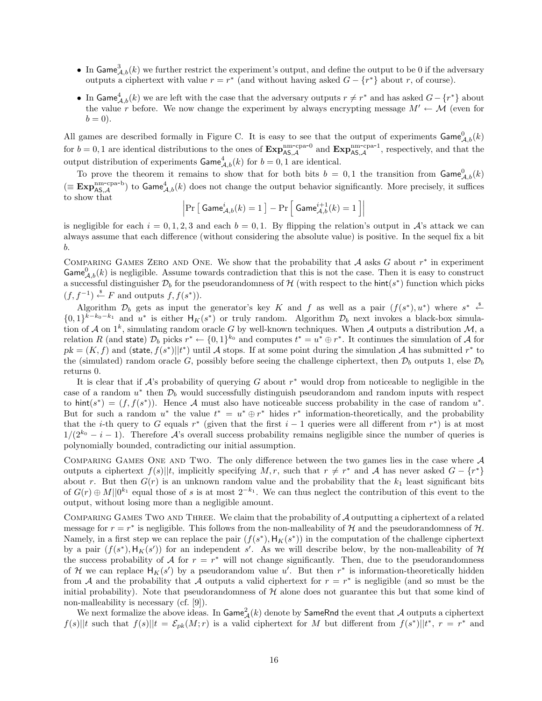- In Game<sub> $A,b$ </sub> $(k)$  we further restrict the experiment's output, and define the output to be 0 if the adversary outputs a ciphertext with value  $r = r^*$  (and without having asked  $G - \{r^*\}$  about r, of course).
- In Game<sup>4</sup><sub>*A*,*b*</sub>(*k*) we are left with the case that the adversary outputs  $r \neq r^*$  and has asked  $G \{r^*\}$  about the value r before. We now change the experiment by always encrypting message  $M' \leftarrow M$  (even for  $b = 0$ ).

All games are described formally in Figure C. It is easy to see that the output of experiments  $\textsf{Game}^0_{\mathcal{A},b}(k)$ for  $b = 0, 1$  are identical distributions to the ones of  $\text{Exp}_{AS,\mathcal{A}}^{\text{nm-cpa-0}}$  and  $\text{Exp}_{AS,\mathcal{A}}^{\text{nm-cpa-1}}$ , respectively, and that the output distribution of experiments  $\mathsf{Game}^4_{\mathcal{A},b}(k)$  for  $b = 0,1$  are identical.

To prove the theorem it remains to show that for both bits  $b = 0,1$  the transition from  $\textsf{Game}^0_{\mathcal{A},b}(k)$  $(\equiv \mathbf{Exp}_{\mathsf{AS},\mathcal{A}}^{\text{nm-cpa-b}})$  to  $\mathsf{Game}_{\mathcal{A},b}^4(k)$  does not change the output behavior significantly. More precisely, it suffices to show that

$$
\left|\Pr\left[\text{ Game}_{\mathcal{A},b}^{i}(k) = 1\right] - \Pr\left[\text{Game}_{\mathcal{A},b}^{i+1}(k) = 1\right]\right|
$$

is negligible for each  $i = 0, 1, 2, 3$  and each  $b = 0, 1$ . By flipping the relation's output in A's attack we can always assume that each difference (without considering the absolute value) is positive. In the sequel fix a bit b.

COMPARING GAMES ZERO AND ONE. We show that the probability that  $A$  asks  $G$  about  $r^*$  in experiment Game $^0_{A,b}(k)$  is negligible. Assume towards contradiction that this is not the case. Then it is easy to construct a successful distinguisher  $\mathcal{D}_b$  for the pseudorandomness of H (with respect to the hint(s<sup>\*</sup>) function which picks  $(f, f^{-1}) \xleftarrow{\$} F$  and outputs  $f, f(s^*)$ ).

Algorithm  $\mathcal{D}_b$  gets as input the generator's key K and f as well as a pair  $(f(s^*), u^*)$  where  $s^* \stackrel{\$}{\leftarrow}$  $\{0,1\}^{k-k_0-k_1}$  and  $u^*$  is either  $H_K(s^*)$  or truly random. Algorithm  $\mathcal{D}_b$  next invokes a black-box simulation of A on  $1^k$ , simulating random oracle G by well-known techniques. When A outputs a distribution M, a relation R (and state)  $\mathcal{D}_b$  picks  $r^* \leftarrow \{0,1\}^{k_0}$  and computes  $t^* = u^* \oplus r^*$ . It continues the simulation of A for  $pk = (K, f)$  and (state,  $f(s^*)||t^*$ ) until A stops. If at some point during the simulation A has submitted  $r^*$  to the (simulated) random oracle G, possibly before seeing the challenge ciphertext, then  $\mathcal{D}_b$  outputs 1, else  $\mathcal{D}_b$ returns 0.

It is clear that if  $A$ 's probability of querying  $G$  about  $r^*$  would drop from noticeable to negligible in the case of a random  $u^*$  then  $\mathcal{D}_b$  would successfully distinguish pseudorandom and random inputs with respect to hint(s<sup>\*</sup>) =  $(f, f(s^*))$ . Hence A must also have noticeable success probability in the case of random  $u^*$ . But for such a random  $u^*$  the value  $t^* = u^* \oplus r^*$  hides  $r^*$  information-theoretically, and the probability that the *i*-th query to G equals r<sup>\*</sup> (given that the first  $i-1$  queries were all different from r<sup>\*</sup>) is at most  $1/(2^{k_0} - i - 1)$ . Therefore A's overall success probability remains negligible since the number of queries is polynomially bounded, contradicting our initial assumption.

COMPARING GAMES ONE AND TWO. The only difference between the two games lies in the case where  $A$ outputs a ciphertext  $f(s)||t$ , implicitly specifying M, r, such that  $r \neq r^*$  and A has never asked  $G - \{r^*\}$ about r. But then  $G(r)$  is an unknown random value and the probability that the  $k_1$  least significant bits of  $G(r) \oplus M||0^{k_1}$  equal those of s is at most  $2^{-k_1}$ . We can thus neglect the contribution of this event to the output, without losing more than a negligible amount.

Comparing Games Two and Three. We claim that the probability of A outputting a ciphertext of a related message for  $r = r^*$  is negligible. This follows from the non-malleability of H and the pseudorandomness of H. Namely, in a first step we can replace the pair  $(f(s^*), \mathsf{H}_K(s^*))$  in the computation of the challenge ciphertext by a pair  $(f(s^*), \mathsf{H}_K(s'))$  for an independent s'. As we will describe below, by the non-malleability of H the success probability of A for  $r = r^*$  will not change significantly. Then, due to the pseudorandomness of H we can replace  $H_K(s')$  by a pseudorandom value u'. But then  $r^*$  is information-theoretically hidden from A and the probability that A outputs a valid ciphertext for  $r = r^*$  is negligible (and so must be the initial probability). Note that pseudorandomness of  $H$  alone does not guarantee this but that some kind of non-malleability is necessary (cf. [9]).

We next formalize the above ideas. In  $\mathsf{Game}^2_{\mathcal{A}}(k)$  denote by  $\mathsf{SameRnd}$  the event that  $\mathcal A$  outputs a ciphertext  $f(s)||t$  such that  $f(s)||t = \mathcal{E}_{pk}(M;r)$  is a valid ciphertext for M but different from  $f(s^*)||t^*, r = r^*$  and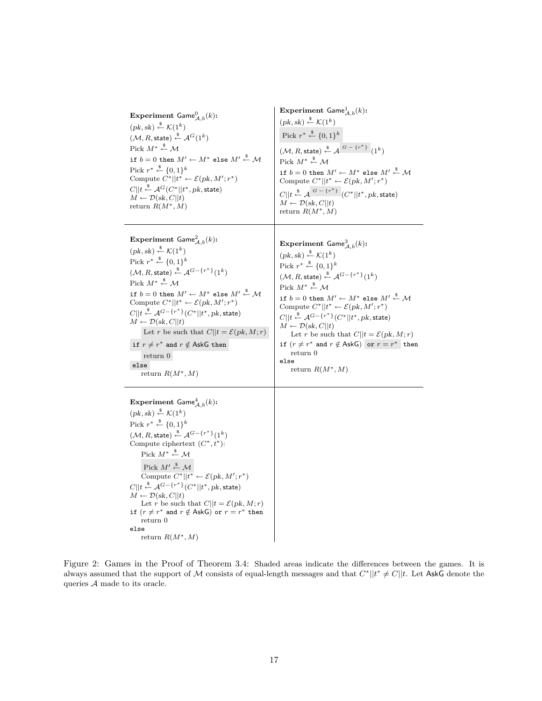${\bf Experiment\; Game}^0_{{\cal A},b}(k){:}$  $(pk, sk) \overset{\$}{\leftarrow} \mathcal{K}(1^k)$  $(\mathcal{M}, R, \mathsf{state}) \overset{\$}{\leftarrow} \mathcal{A}^G(1^k)$ Pick  $M^* \xleftarrow{\$} \mathcal{M}$ if  $b=0$  then  $M' \leftarrow M^*$  else  $M' \stackrel{\$}{\leftarrow} \mathcal{M}$ Pick  $r^* \stackrel{\$}{\leftarrow} \{0,1\}^k$ Compute  $C^*||t^* \leftarrow \mathcal{E}(pk, M'; r^*)$  $C||t \stackrel{\$}{\leftarrow} \mathcal{A}^{G}(C^{*}||t^{*},pk,\text{state})$  $M \leftarrow \mathcal{D}(s k, C||t)$ return  $R(M^*, M)$  $(pk, sk) \stackrel{\$}{\leftarrow} \mathcal{K}(1^k)$ Pick  $r^* \stackrel{\$}{\leftarrow} \{0,1\}^k$  $(\mathcal{M}, R, \textsf{state}) \overset{\$}{\leftarrow} \mathcal{A}^{G - \{r^*\}}(1^k)$ Pick  $M^* \overset{\$}{\leftarrow} \mathcal{M}$ if  $b=0$  then  $M' \leftarrow M^*$  else  $M' \stackrel{\$}{\leftarrow} \mathcal{M}$ Compute  $C^*||t^* \leftarrow \mathcal{E}(pk, M'; r^*)$  $C||t \stackrel{\$}{\leftarrow} \mathcal{A} \stackrel{G - \{r^*\}}{=} (C^*||t^*,pk,\text{state})$  $M \leftarrow \mathcal{D}(sk, C||t)$ return  $R(M^*, M)$  ${\bf Experiment\; Game}^2_{{\cal A},b}(k){:}$  $(pk, sk) \stackrel{\$}{\leftarrow} \mathcal{K}(1^k)$ Pick  $r^* \stackrel{\$}{\leftarrow} \{0,1\}^k$  $(\mathcal{M}, R, \mathsf{state}) \overset{\$}{\leftarrow} \mathcal{A}^{G - \{r^{*}\}}(1^{k})$ Pick  $M^* \overset{\$}{\leftarrow} \mathcal{M}$ if  $b=0$  then  $M' \leftarrow M^*$  else  $M' \stackrel{\$}{\leftarrow} \mathcal{M}$ Compute  $C^*||t^* \leftarrow \mathcal{E}(pk, M'; r^*)$  $C||t \stackrel{\$}{\leftarrow} \mathcal{A}^{G - \{r^*\}}(C^*||t^*,pk,\text{state})$  $M \leftarrow \mathcal{D}(sk, C||t)$ Let r be such that  $C||t = \mathcal{E}(pk, M; r)$ if  $r \neq r^*$  and  $r \notin$  AskG then return 0 else return  $R(M^*, M)$  ${\bf Experiment\; Game}^3_{{\cal A},b}(k){:}$  $(pk, sk) \stackrel{\$}{\leftarrow} \mathcal{K}(1^k)$ Pick  $r^* \stackrel{\$}{\leftarrow} \{0,1\}^k$  $(\mathcal{M}, R, \mathsf{state}) \overset{\$}{\leftarrow} \mathcal{A}^{G - \{r^*\}}(1^k)$ Pick  $M^* \overset{\$}{\leftarrow} \mathcal{M}$ if  $b=0$  then  $M' \leftarrow M^*$  else  $M' \stackrel{\$}{\leftarrow} \mathcal{M}$ Compute  $C^*||t^* \leftarrow \mathcal{E}(pk, M'; r^*)$  $C||t \stackrel{\$}{\leftarrow} \mathcal{A}^{G - \{r^*\}}(C^*|| t^*,pk,\text{state})$  $M \leftarrow \mathcal{D}(sk, C||t)$ Let r be such that  $C||t = \mathcal{E}(pk, M; r)$ if  $(r \neq r^*$  and  $r \notin$  AskG) or  $r = r^*$  then return 0 else return  $R(M^*, M)$  ${\bf Experiment\; Game}^4_{{\cal A},b}(k){:}$  $(pk, sk) \stackrel{\$}{\leftarrow} \mathcal{K}(1^k)$ Pick  $r^* \stackrel{\$}{\leftarrow} \{0,1\}^k$  $(\mathcal{M}, R, \mathsf{state}) \overset{\$}{\leftarrow} \mathcal{A}^{G - \{r^{*}\}}(1^{k})$ Compute ciphertext  $(C^*, t^*)$ : Pick  $M^* \overset{\$}{\leftarrow} \mathcal{M}$ Pick  $M' \overset{\$}{\leftarrow} \mathcal{M}$ Compute  $C^*||\overline{t^*} \leftarrow \mathcal{E}(pk, M'; r^*)$  $C||t \stackrel{\$}{\leftarrow} \mathcal{A}^{G - \{r^*\}}(C^*|| t^*,pk,\text{state})$  $M \leftarrow \mathcal{D}(sk, C||t)$ Let r be such that  $C||t = \mathcal{E}(pk, M; r)$ if  $(r \neq r^*$  and  $r \notin$  AskG) or  $r = r^*$  then return 0 else

 ${\bf Experiment\; Game}^1_{{\cal A},b}(k){:}$ 

Figure 2: Games in the Proof of Theorem 3.4: Shaded areas indicate the differences between the games. It is always assumed that the support of M consists of equal-length messages and that  $C^*||t^* \neq C||t$ . Let AskG denote the queries A made to its oracle.

return  $R(M^*, M)$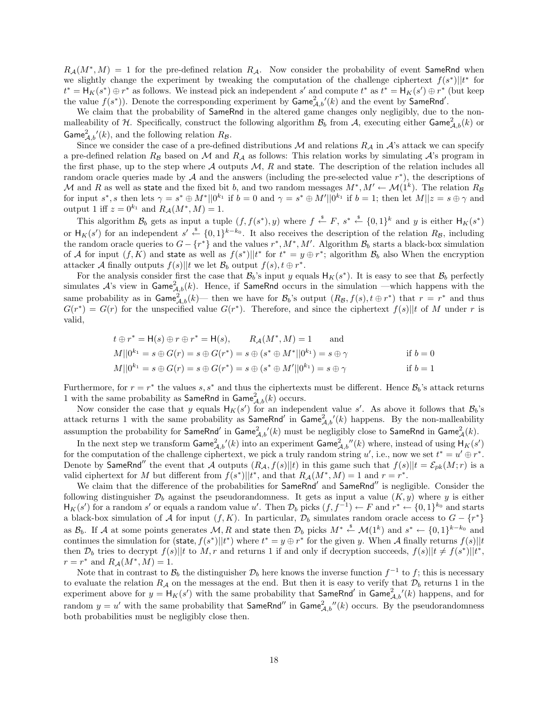$R_{\mathcal{A}}(M^*,M) = 1$  for the pre-defined relation  $R_{\mathcal{A}}$ . Now consider the probability of event SameRnd when we slightly change the experiment by tweaking the computation of the challenge ciphertext  $f(s^*)$  $t^* = H_K(s^*) \oplus r^*$  as follows. We instead pick an independent s' and compute  $t^*$  as  $t^* = H_K(s') \oplus r^*$  (but keep the value  $f(s^*)$ ). Denote the corresponding experiment by  $\mathsf{Game}^2_{\mathcal{A},b'}(k)$  and the event by  $\mathsf{SameRnd}'.$ 

We claim that the probability of SameRnd in the altered game changes only negligibly, due to the nonmalleability of H. Specifically, construct the following algorithm  $B_b$  from A, executing either Game $_{A,b}^2(k)$  or Game $^2_{A,b'}(k)$ , and the following relation  $R_B$ .

Since we consider the case of a pre-defined distributions M and relations  $R_A$  in  $\mathcal{A}$ 's attack we can specify a pre-defined relation  $R_B$  based on M and  $R_A$  as follows: This relation works by simulating  $\mathcal{A}$ 's program in the first phase, up to the step where A outputs  $M$ , R and state. The description of the relation includes all random oracle queries made by  $A$  and the answers (including the pre-selected value  $r^*$ ), the descriptions of M and R as well as state and the fixed bit b, and two random messages  $M^*, M' \leftarrow \mathcal{M}(1^k)$ . The relation  $R_B$ for input  $s^*$ , s then lets  $\gamma = s^* \oplus M^* || 0^{k_1}$  if  $b = 0$  and  $\gamma = s^* \oplus M' || 0^{k_1}$  if  $b = 1$ ; then let  $M || z = s \oplus \gamma$  and output 1 iff  $z = 0^{k_1}$  and  $R_{\mathcal{A}}(M^*, M) = 1$ .

This algorithm  $\mathcal{B}_b$  gets as input a tuple  $(f, f(s^*), y)$  where  $f \stackrel{s}{\leftarrow} F$ ,  $s^* \stackrel{s}{\leftarrow} \{0,1\}^k$  and y is either  $\mathsf{H}_K(s^*)$ or  $H_K(s')$  for an independent  $s' \stackrel{\$}{\leftarrow} \{0,1\}^{k-k_0}$ . It also receives the description of the relation  $R_{\mathcal{B}}$ , including the random oracle queries to  $G - \{r^*\}$  and the values  $r^*, M^*, M'$ . Algorithm  $\mathcal{B}_b$  starts a black-box simulation of A for input  $(f, K)$  and state as well as  $f(s^*)$  ||t<sup>\*</sup> for  $t^* = y \oplus r^*$ ; algorithm  $\mathcal{B}_b$  also When the encryption attacker A finally outputs  $f(s)||t$  we let  $\mathcal{B}_b$  output  $f(s), t \oplus r^*$ .

For the analysis consider first the case that  $\mathcal{B}_b$ 's input y equals  $H_K(s^*)$ . It is easy to see that  $\mathcal{B}_b$  perfectly simulates  $A$ 's view in  $\mathsf{Game}^2_{A,b}(k)$ . Hence, if  $\mathsf{SameRnd}$  occurs in the simulation —which happens with the same probability as in  $\mathsf{Game}^2_{\mathcal{A},b}(k)$ — then we have for  $\mathcal{B}_b$ 's output  $(R_\mathcal{B}, f(s), t \oplus r^*)$  that  $r = r^*$  and thus  $G(r^*) = G(r)$  for the unspecified value  $G(r^*)$ . Therefore, and since the ciphertext  $f(s)||t$  of M under r is valid,

$$
t \oplus r^* = \mathsf{H}(s) \oplus r \oplus r^* = \mathsf{H}(s), \qquad R_{\mathcal{A}}(M^*, M) = 1 \qquad \text{and}
$$
  

$$
M||0^{k_1} = s \oplus G(r) = s \oplus G(r^*) = s \oplus (s^* \oplus M^*||0^{k_1}) = s \oplus \gamma
$$
 if  $b = 0$ 

$$
M||0^{k_1} = s \oplus G(r) = s \oplus G(r^*) = s \oplus (s^* \oplus M'||0^{k_1}) = s \oplus \gamma
$$
 if  $b = 1$ 

Furthermore, for  $r = r^*$  the values  $s, s^*$  and thus the ciphertexts must be different. Hence  $\mathcal{B}_b$ 's attack returns 1 with the same probability as SameRnd in  $\mathsf{Game}^2_{\mathcal{A},b}(k)$  occurs.

Now consider the case that y equals  $H_K(s')$  for an independent value s'. As above it follows that  $B_b$ 's attack returns 1 with the same probability as  $\mathsf{SameRnd}'$  in  $\mathsf{Game}^2_{\mathcal{A},b'}(k)$  happens. By the non-malleability assumption the probability for <code>SameRnd</code> in <code>Game $_{\mathcal{A},b}^2$ '(k)</code> must be negligibly close to <code>SameRnd</code> in <code>Game $_{\mathcal{A}}^2(k).$ </code>

In the next step we transform  $\mathsf{Game}^2_{\mathcal{A},b'}(k)$  into an experiment  $\mathsf{Game}^2_{\mathcal{A},b}''(k)$  where, instead of using  $\mathsf{H}_K(s')$ for the computation of the challenge ciphertext, we pick a truly random string u', i.e., now we set  $t^* = u' \oplus r^*$ . Denote by SameRnd<sup>"</sup> the event that A outputs  $(R_A, f(s)||t)$  in this game such that  $f(s)||t = \mathcal{E}_{pk}(M;r)$  is a valid ciphertext for M but different from  $f(s^*)$ ||t<sup>\*</sup>, and that  $R_{\mathcal{A}}(M^*, M) = 1$  and  $r = r^*$ .

We claim that the difference of the probabilities for SameRnd' and SameRnd" is negligible. Consider the following distinguisher  $\mathcal{D}_b$  against the pseudorandomness. It gets as input a value  $(K, y)$  where y is either  $H_K(s')$  for a random s' or equals a random value u'. Then  $\mathcal{D}_b$  picks  $(f, f^{-1}) \leftarrow F$  and  $r^* \leftarrow \{0, 1\}^{k_0}$  and starts a black-box simulation of A for input  $(f, K)$ . In particular,  $\mathcal{D}_b$  simulates random oracle access to  $G - \{r^*\}$ as  $\mathcal{B}_b$ . If A at some points generates  $\mathcal{M}, R$  and state then  $\mathcal{D}_b$  picks  $M^* \stackrel{\$}{\leftarrow} \mathcal{M}(1^k)$  and  $s^* \leftarrow \{0,1\}^{k-k_0}$  and continues the simulation for (state,  $f(s^*)||t^*$ ) where  $t^* = y \oplus r^*$  for the given y. When A finally returns  $f(s)||t^*$ then  $\mathcal{D}_b$  tries to decrypt  $f(s)||t$  to M, r and returns 1 if and only if decryption succeeds,  $f(s)||t \neq f(s^*)||t^*$ ,  $r = r^*$  and  $R_{\mathcal{A}}(M^*, M) = 1$ .

Note that in contrast to  $B_b$  the distinguisher  $\mathcal{D}_b$  here knows the inverse function  $f^{-1}$  to f; this is necessary to evaluate the relation  $R_A$  on the messages at the end. But then it is easy to verify that  $\mathcal{D}_b$  returns 1 in the experiment above for  $y = H_K(s')$  with the same probability that SameRnd' in Game $_{A,b}^2(k)$  happens, and for random  $y = u'$  with the same probability that SameRnd" in Game $_{\mathcal{A},b}^2''(k)$  occurs. By the pseudorandomness both probabilities must be negligibly close then.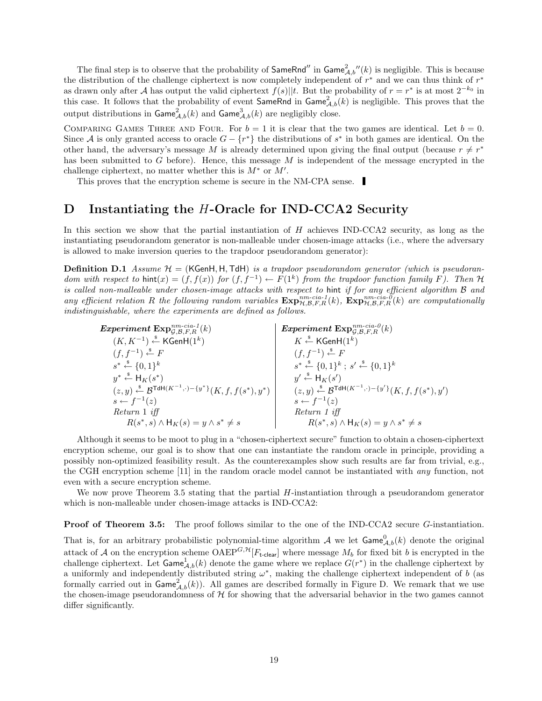The final step is to observe that the probability of  $\mathsf{SameRnd}''$  in  $\mathsf{Game}^2_{A,b}''(k)$  is negligible. This is because the distribution of the challenge ciphertext is now completely independent of  $r^*$  and we can thus think of  $r^*$ as drawn only after A has output the valid ciphertext  $f(s)||t$ . But the probability of  $r = r^*$  is at most  $2^{-k_0}$  in this case. It follows that the probability of event SameRnd in  $\text{Game}^2_{A,b}(k)$  is negligible. This proves that the output distributions in  $\mathsf{Game}^2_{\mathcal{A},b}(k)$  and  $\mathsf{Game}^3_{\mathcal{A},b}(k)$  are negligibly close.

COMPARING GAMES THREE AND FOUR. For  $b = 1$  it is clear that the two games are identical. Let  $b = 0$ . Since A is only granted access to oracle  $G - \{r^*\}$  the distributions of  $s^*$  in both games are identical. On the other hand, the adversary's message M is already determined upon giving the final output (because  $r \neq r^*$ has been submitted to  $G$  before). Hence, this message  $M$  is independent of the message encrypted in the challenge ciphertext, no matter whether this is  $M^*$  or  $M'$ .

This proves that the encryption scheme is secure in the NM-CPA sense.

### D Instantiating the *H*-Oracle for IND-CCA2 Security

In this section we show that the partial instantiation of H achieves IND-CCA2 security, as long as the instantiating pseudorandom generator is non-malleable under chosen-image attacks (i.e., where the adversary is allowed to make inversion queries to the trapdoor pseudorandom generator):

**Definition D.1** Assume  $H = (KGenH, H, TdH)$  is a trapdoor pseudorandom generator (which is pseudorandom with respect to  $\text{hint}(x) = (f, f(x))$  for  $(f, f^{-1}) \leftarrow F(1^k)$  from the trapdoor function family F). Then H is called non-malleable under chosen-image attacks with respect to hint if for any efficient algorithm B and any efficient relation R the following random variables  $\exp_{\mathcal{H},\mathcal{B},F,R}^{nm\text{-}cia} (k)$ ,  $\exp_{\mathcal{H},\mathcal{B},F,R}^{nm\text{-}cia} (k)$  are computationally indistinguishable, where the experiments are defined as follows.

| ${\bm Experiment ~{\bf Exp}_{\mathcal{G},\mathcal{B},F,R}^{nm-cia-1}(k)}$                               | $Experiment \; Exp^{nm\text{-}cia\text{-}0}_{\mathcal{G},\mathcal{B},F,R}(k)$                         |
|---------------------------------------------------------------------------------------------------------|-------------------------------------------------------------------------------------------------------|
| $(K, K^{-1}) \stackrel{\$}{\leftarrow}$ KGenH $(1^k)$                                                   | $K \stackrel{\hspace{0.1em}\mathsf{\scriptscriptstyle\$}}{\leftarrow}$ KGenH $(1^k)$                  |
| $(f, f^{-1}) \stackrel{\$}{\leftarrow} F$                                                               | $(f, f^{-1}) \stackrel{\$}{\leftarrow} F$                                                             |
| $s^* \xleftarrow{\$} \{0,1\}^k$                                                                         | $s^* \stackrel{\$}{\leftarrow} \{0,1\}^k$ ; $s' \stackrel{\$}{\leftarrow} \{0,1\}^k$                  |
| $y^* \stackrel{\$}{\leftarrow} \mathsf{H}_K(s^*)$                                                       | $y' \stackrel{\hspace{0.1em}\mathsf{\scriptscriptstyle\$}}{\leftarrow} \mathsf{H}_K(s')$              |
| $(z, y) \stackrel{\$}{\leftarrow} \mathcal{B}^{\text{TdH}(K^{-1}, \cdot) - \{y^*\}}(K, f, f(s^*), y^*)$ | $(z, y) \stackrel{\$}{\leftarrow} \mathcal{B}^{\text{TdH}(K^{-1}, \cdot) - \{y'\}}(K, f, f(s^*), y')$ |
| $s \leftarrow f^{-1}(z)$                                                                                | $s \leftarrow f^{-1}(z)$                                                                              |
| $Return 1$ iff                                                                                          | Return 1 iff                                                                                          |
| $R(s^*, s) \wedge H_K(s) = y \wedge s^* \neq s$                                                         | $R(s^*, s) \wedge H_K(s) = y \wedge s^* \neq s$                                                       |

Although it seems to be moot to plug in a "chosen-ciphertext secure" function to obtain a chosen-ciphertext encryption scheme, our goal is to show that one can instantiate the random oracle in principle, providing a possibly non-optimized feasibility result. As the counterexamples show such results are far from trivial, e.g., the CGH encryption scheme [11] in the random oracle model cannot be instantiated with any function, not even with a secure encryption scheme.

We now prove Theorem 3.5 stating that the partial H-instantiation through a pseudorandom generator which is non-malleable under chosen-image attacks is IND-CCA2:

Proof of Theorem 3.5: The proof follows similar to the one of the IND-CCA2 secure G-instantiation.

That is, for an arbitrary probabilistic polynomial-time algorithm  $\mathcal A$  we let  $\mathsf{Game}^0_{\mathcal A,b}(k)$  denote the original attack of A on the encryption scheme OAEP<sup>G,H</sup>[ $F_{t-\text{clear}}$ ] where message  $M_b$  for fixed bit b is encrypted in the challenge ciphertext. Let  $\mathsf{Game}^1_{\mathcal{A},b}(k)$  denote the game where we replace  $G(r^*)$  in the challenge ciphertext by a uniformly and independently distributed string  $\omega^*$ , making the challenge ciphertext independent of b (as formally carried out in  $\textsf{Game}^2_{\mathcal{A},b}(k)$ . All games are described formally in Figure D. We remark that we use the chosen-image pseudorandomness of  $H$  for showing that the adversarial behavior in the two games cannot differ significantly.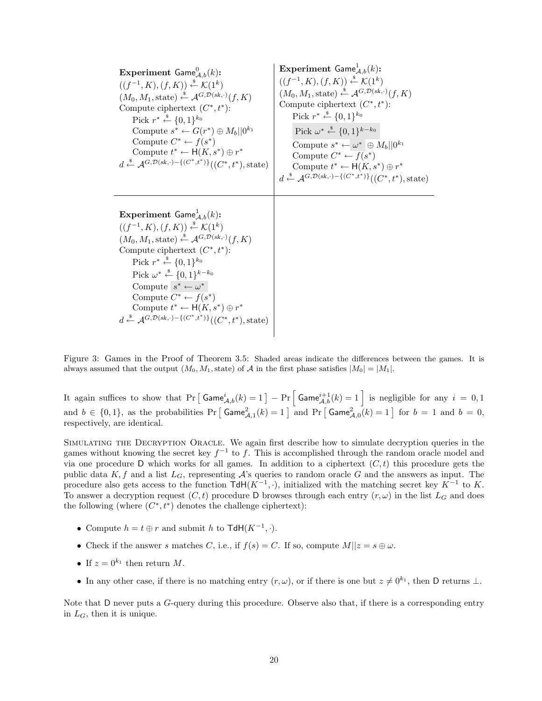

Figure 3: Games in the Proof of Theorem 3.5: Shaded areas indicate the differences between the games. It is always assumed that the output  $(M_0, M_1, \text{state})$  of A in the first phase satisfies  $|M_0| = |M_1|$ .

It again suffices to show that  $Pr\left[$  Game $_{\mathcal{A},b}^{i}(k)=1\right]$   $Pr\left[$  Game $_{\mathcal{A},b}^{i+1}(k)=1\right]$  is negligible for any  $i=0,1$ and  $b \in \{0,1\}$ , as the probabilities  $Pr\left[ \text{Game}^2_{\mathcal{A},1}(k) = 1 \right]$  and  $Pr\left[ \text{Game}^2_{\mathcal{A},0}(k) = 1 \right]$  for  $b = 1$  and  $b = 0$ , respectively, are identical.

SIMULATING THE DECRYPTION ORACLE. We again first describe how to simulate decryption queries in the games without knowing the secret key  $f^{-1}$  to f. This is accomplished through the random oracle model and via one procedure D which works for all games. In addition to a ciphertext  $(C, t)$  this procedure gets the public data  $K, f$  and a list  $L_G$ , representing A's queries to random oracle G and the answers as input. The procedure also gets access to the function  $\text{TdH}(K^{-1}, \cdot)$ , initialized with the matching secret key  $K^{-1}$  to K. To answer a decryption request  $(C, t)$  procedure D browses through each entry  $(r, \omega)$  in the list  $L_G$  and does the following (where  $(C^*, t^*)$  denotes the challenge ciphertext):

- Compute  $h = t \oplus r$  and submit h to TdH( $K^{-1}$ , ·).
- Check if the answer s matches C, i.e., if  $f(s) = C$ . If so, compute  $M||z = s \oplus \omega$ .
- If  $z = 0^{k_1}$  then return M.
- In any other case, if there is no matching entry  $(r, \omega)$ , or if there is one but  $z \neq 0^{k_1}$ , then D returns  $\bot$ .

Note that D never puts a G-query during this procedure. Observe also that, if there is a corresponding entry in  $L_G$ , then it is unique.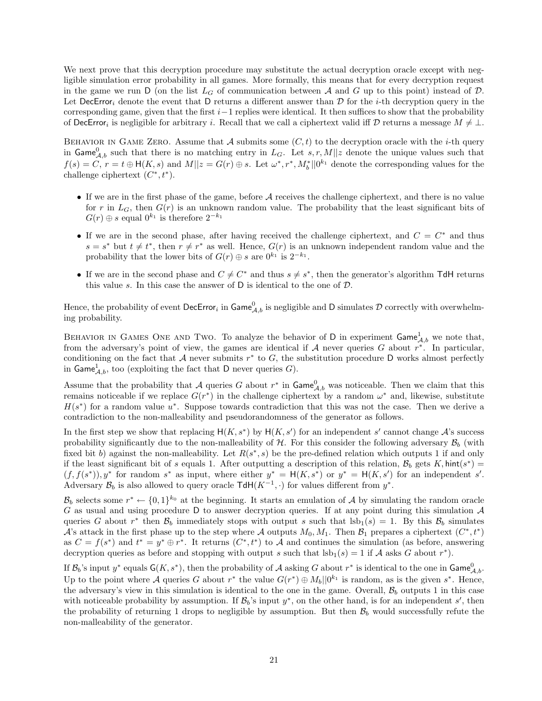We next prove that this decryption procedure may substitute the actual decryption oracle except with negligible simulation error probability in all games. More formally, this means that for every decryption request in the game we run D (on the list  $L_G$  of communication between A and G up to this point) instead of D. Let DecError<sub>i</sub> denote the event that D returns a different answer than  $D$  for the *i*-th decryption query in the corresponding game, given that the first  $i-1$  replies were identical. It then suffices to show that the probability of DecError<sub>i</sub> is negligible for arbitrary *i*. Recall that we call a ciphertext valid iff  $D$  returns a message  $M \neq \bot$ .

BEHAVIOR IN GAME ZERO. Assume that A submits some  $(C, t)$  to the decryption oracle with the *i*-th query in Game<sub> $A,b$ </sub> such that there is no matching entry in  $L_G$ . Let s, r, M||z denote the unique values such that  $f(s) = C, r = t \oplus H(K, s)$  and  $M||z = G(r) \oplus s$ . Let  $\omega^*, r^*, M_b^*||0^{k_1}$  denote the corresponding values for the challenge ciphertext  $(C^*, t^*)$ .

- If we are in the first phase of the game, before A receives the challenge ciphertext, and there is no value for r in  $L_G$ , then  $G(r)$  is an unknown random value. The probability that the least significant bits of  $G(r) \oplus s$  equal  $0^{k_1}$  is therefore  $2^{-k_1}$
- If we are in the second phase, after having received the challenge ciphertext, and  $C = C^*$  and thus  $s = s^*$  but  $t \neq t^*$ , then  $r \neq r^*$  as well. Hence,  $G(r)$  is an unknown independent random value and the probability that the lower bits of  $G(r) \oplus s$  are  $0^{k_1}$  is  $2^{-k_1}$ .
- If we are in the second phase and  $C \neq C^*$  and thus  $s \neq s^*$ , then the generator's algorithm TdH returns this value s. In this case the answer of  $D$  is identical to the one of  $D$ .

Hence, the probability of event  $\mathsf{DecError}_i$  in  $\mathsf{Game}^0_{\mathcal{A},b}$  is negligible and  $\mathsf D$  simulates  $\mathcal D$  correctly with overwhelming probability.

BEHAVIOR IN GAMES ONE AND TWO. To analyze the behavior of D in experiment  $\mathsf{Game}^1_{\mathcal{A},b}$  we note that, from the adversary's point of view, the games are identical if A never queries G about  $r^*$ . In particular, conditioning on the fact that  $A$  never submits  $r^*$  to  $G$ , the substitution procedure D works almost perfectly in  $\mathsf{Game}^1_{\mathcal{A},b}$ , too (exploiting the fact that D never queries  $G$ ).

Assume that the probability that A queries G about  $r^*$  in  $Game_{\mathcal{A},b}^0$  was noticeable. Then we claim that this remains noticeable if we replace  $G(r^*)$  in the challenge ciphertext by a random  $\omega^*$  and, likewise, substitute  $H(s^*)$  for a random value  $u^*$ . Suppose towards contradiction that this was not the case. Then we derive a contradiction to the non-malleability and pseudorandomness of the generator as follows.

In the first step we show that replacing  $H(K, s^*)$  by  $H(K, s')$  for an independent s' cannot change A's success probability significantly due to the non-malleability of  $H$ . For this consider the following adversary  $B_b$  (with fixed bit b) against the non-malleability. Let  $R(s^*, s)$  be the pre-defined relation which outputs 1 if and only if the least significant bit of s equals 1. After outputting a description of this relation,  $\mathcal{B}_b$  gets K, hint $(s^*)$  =  $(f, f(s^*)), y^*$  for random s<sup>\*</sup> as input, where either  $y^* = H(K, s^*)$  or  $y^* = H(K, s')$  for an independent s'. Adversary  $\mathcal{B}_b$  is also allowed to query oracle  $\textsf{TdH}(K^{-1},\cdot)$  for values different from  $y^*$ .

 $\mathcal{B}_b$  selects some  $r^* \leftarrow \{0,1\}^{k_0}$  at the beginning. It starts an emulation of A by simulating the random oracle  $G$  as usual and using procedure D to answer decryption queries. If at any point during this simulation  $A$ queries G about  $r^*$  then  $\mathcal{B}_b$  immediately stops with output s such that  $\text{lsb}_1(s) = 1$ . By this  $\mathcal{B}_b$  simulates A's attack in the first phase up to the step where A outputs  $M_0, M_1$ . Then  $\mathcal{B}_1$  prepares a ciphertext  $(C^*, t^*)$ as  $C = f(s^*)$  and  $t^* = y^* \oplus r^*$ . It returns  $(C^*, t^*)$  to A and continues the simulation (as before, answering decryption queries as before and stopping with output s such that  $\text{lsb}_1(s) = 1$  if A asks G about  $r^*$ ).

If  $\mathcal{B}_b$ 's input  $y^*$  equals  $\mathsf{G}(K, s^*)$ , then the probability of  $\mathcal A$  asking  $G$  about  $r^*$  is identical to the one in  $\mathsf{Game}^0_{\mathcal A,b}$ . Up to the point where A queries G about  $r^*$  the value  $G(r^*) \oplus M_b || 0^{k_1}$  is random, as is the given  $s^*$ . Hence, the adversary's view in this simulation is identical to the one in the game. Overall,  $B_b$  outputs 1 in this case with noticeable probability by assumption. If  $\mathcal{B}_b$ 's input  $y^*$ , on the other hand, is for an independent s', then the probability of returning 1 drops to negligible by assumption. But then  $B<sub>b</sub>$  would successfully refute the non-malleability of the generator.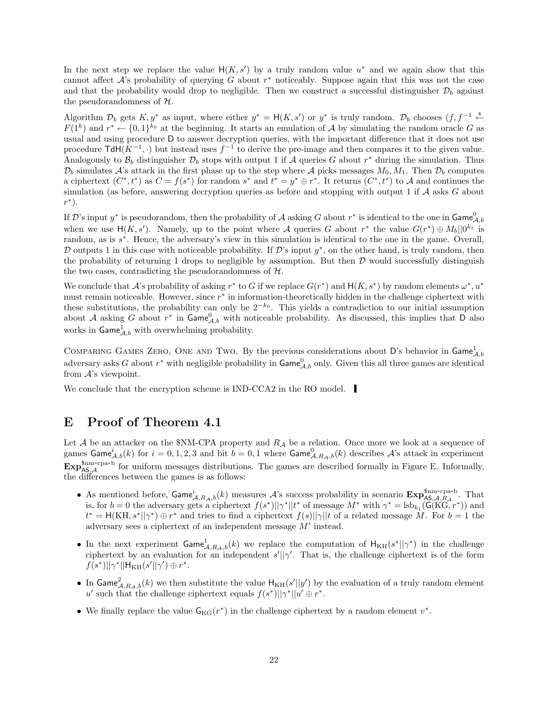In the next step we replace the value  $H(K, s')$  by a truly random value  $u^*$  and we again show that this cannot affect  $A$ 's probability of querying G about  $r^*$  noticeably. Suppose again that this was not the case and that the probability would drop to negligible. Then we construct a successful distinguisher  $\mathcal{D}_b$  against the pseudorandomness of  $H$ .

Algorithm  $\mathcal{D}_b$  gets  $K, y^*$  as input, where either  $y^* = H(K, s')$  or  $y^*$  is truly random.  $\mathcal{D}_b$  chooses  $(f, f^{-1} \stackrel{\$}{\leftarrow}$  $F(1^k)$  and  $r^* \leftarrow \{0,1\}^{k_0}$  at the beginning. It starts an emulation of A by simulating the random oracle G as usual and using procedure D to answer decryption queries, with the important difference that it does not use procedure  $\text{TdH}(K^{-1}, \cdot)$  but instead uses  $f^{-1}$  to derive the pre-image and then compares it to the given value. Analogously to  $\mathcal{B}_b$  distinguisher  $\mathcal{D}_b$  stops with output 1 if A queries G about  $r^*$  during the simulation. Thus  $\mathcal{D}_b$  simulates A's attack in the first phase up to the step where A picks messages  $M_0, M_1$ . Then  $\mathcal{D}_b$  computes a ciphertext  $(C^*, t^*)$  as  $C = f(s^*)$  for random  $s^*$  and  $t^* = y^* \oplus r^*$ . It returns  $(C^*, t^*)$  to A and continues the simulation (as before, answering decryption queries as before and stopping with output 1 if  $A$  asks  $G$  about  $r^*$ ).

If  $\mathcal D$ 's input  $y^*$  is pseudorandom, then the probability of  $\mathcal A$  asking  $G$  about  $r^*$  is identical to the one in  $\mathsf{Game}^0_{\mathcal A,b}$ when we use  $H(K, s')$ . Namely, up to the point where A queries G about r<sup>\*</sup> the value  $G(r^*) \oplus M_b||0^{k_1}$  is random, as is s<sup>\*</sup>. Hence, the adversary's view in this simulation is identical to the one in the game. Overall, D outputs 1 in this case with noticeable probability. If D's input  $y^*$ , on the other hand, is truly random, then the probability of returning 1 drops to negligible by assumption. But then  $\mathcal D$  would successfully distinguish the two cases, contradicting the pseudorandomness of  $H$ .

We conclude that A's probability of asking  $r^*$  to G if we replace  $G(r^*)$  and  $H(K, s^*)$  by random elements  $\omega^*, u^*$ must remain noticeable. However, since  $r^*$  in information-theoretically hidden in the challenge ciphertext with these substitutions, the probability can only be  $2^{-k_0}$ . This yields a contradiction to our initial assumption about A asking G about  $r^*$  in  $Game_{\mathcal{A},b}^0$  with noticeable probability. As discussed, this implies that D also works in  $\mathsf{Game}^1_{\mathcal{A},b}$  with overwhelming probability.

COMPARING GAMES ZERO, ONE AND TWO. By the previous considerations about D's behavior in  $\text{Game}^1_{\mathcal{A},b}$ adversary asks G about  $r^*$  with negligible probability in  $\mathsf{Game}^0_{\mathcal{A},b}$  only. Given this all three games are identical from  $A$ 's viewpoint.

We conclude that the encryption scheme is IND-CCA2 in the RO model.

#### E Proof of Theorem 4.1

Let  $\mathcal A$  be an attacker on the \$NM-CPA property and  $R_{\mathcal A}$  be a relation. Once more we look at a sequence of games  $\mathsf{Game}^i_{\mathcal{A},b}(k)$  for  $i = 0,1,2,3$  and bit  $b = 0,1$  where  $\mathsf{Game}^0_{\mathcal{A},R_\mathcal{A},b}(k)$  describes  $\mathcal{A}$ 's attack in experiment  $Exp_{AS,\mathcal{A}}^{\$nm-cpa-b}$  for uniform messages distributions. The games are described formally in Figure E. Informally, the differences between the games is as follows:

- As mentioned before,  $\mathsf{Game}_{\mathcal{A},R_\mathcal{A},b}^i(k)$  measures  $\mathcal{A}$ 's success probability in scenario  $\mathbf{Exp}_{AS,\mathcal{A},R_\mathcal{A}}^{s_{\text{nn-cpa-b}}}$ . That is, for  $b=0$  the adversary gets a ciphertext  $f(s^*)||\gamma^*||t^*$  of message  $M^*$  with  $\gamma^* = \text{lsb}_{k_1}(\tilde{\mathsf{G}}(\tilde{\mathsf{KG}}, r^*))$  and  $t^* = H(KH, s^*||\gamma^*) \oplus r^*$  and tries to find a ciphertext  $f(s)||\gamma||t$  of a related message M. For  $b = 1$  the adversary sees a ciphertext of an independent message  $M'$  instead.
- In the next experiment  $\mathsf{Game}^1_{\mathcal{A},R_\mathcal{A},b}(k)$  we replace the computation of  $\mathsf{H}_{KH}(s^*||\gamma^*)$  in the challenge ciphertext by an evaluation for an independent  $s'||\gamma'$ . That is, the challenge ciphertext is of the form  $f(s^*)$ || $\gamma^*$ ||H<sub>KH</sub> $(s'$ || $\gamma') \oplus r^*$ .
- In Game  $A_{R,A,b}(k)$  we then substitute the value  $H_{KH}(s'||y')$  by the evaluation of a truly random element u' such that the challenge ciphertext equals  $f(s^*)||\gamma^*||u' \oplus r^*$ .
- We finally replace the value  $G_{KG}(r^*)$  in the challenge ciphertext by a random element  $v^*$ .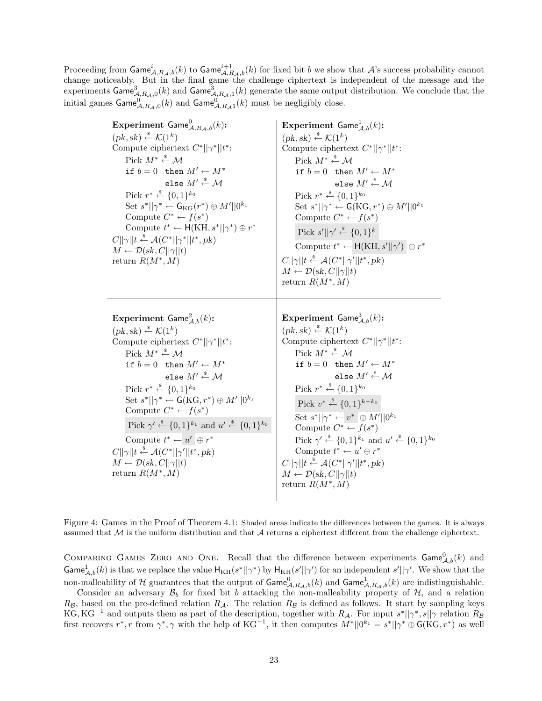Proceeding from  $\mathsf{Game}^i_{\mathcal{A},R_\mathcal{A},b}(k)$  to  $\mathsf{Game}^{i+1}_{\mathcal{A},R_\mathcal{A},b}(k)$  for fixed bit  $b$  we show that  $\mathcal{A}$ 's success probability cannot change noticeably. But in the final game the challenge ciphertext is independent of the message and the experiments  $\mathsf{Game}^3_{\mathcal{A},R_{\mathcal{A}},0}(k)$  and  $\mathsf{Game}^3_{\mathcal{A},R_{\mathcal{A}},1}(k)$  generate the same output distribution. We conclude that the initial games  $\mathsf{Game}^0_{\mathcal{A},R_\mathcal{A},0}(k)$  and  $\mathsf{Game}^0_{\mathcal{A},R_\mathcal{A},1}(k)$  must be negligibly close.

| <b>Experiment</b> Game $_{\mathcal{A},R_{\mathcal{A}},b}^{0}(k)$ :                                                              | <b>Experiment Game</b> $_{A,b}^{1}(k)$ :                                                                                      |
|---------------------------------------------------------------------------------------------------------------------------------|-------------------------------------------------------------------------------------------------------------------------------|
| $(pk, sk) \stackrel{\$}{\leftarrow} \mathcal{K}(1^k)$                                                                           | $(pk, sk) \stackrel{\$}{\leftarrow} \mathcal{K}(1^k)$                                                                         |
| Compute ciphertext $C^*  \gamma^*  t^*$ :                                                                                       | Compute ciphertext $C^*  \gamma^*  t^*$ :                                                                                     |
| Pick $M^* \overset{\hspace{0.1em}\mathsf{\scriptscriptstyle\$}}{\leftarrow} \mathcal{M}$                                        | Pick $M^* \overset{\hspace{0.1em}\mathsf{\scriptscriptstyle\$}}{\leftarrow} \mathcal{M}$                                      |
| if $b = 0$ then $M' \leftarrow M^*$                                                                                             | if $b=0$ then $M' \leftarrow M^*$                                                                                             |
| else $M' \overset{\hspace{0.1em}\mathsf{\scriptscriptstyle\$}}{\leftarrow} \mathcal{M}$                                         | else $M' \overset{\hspace{0.1em}\mathsf{\scriptscriptstyle\$}}{\leftarrow} \mathcal{M}$                                       |
| Pick $r^* \xleftarrow{\$} \{0,1\}^{k_0}$                                                                                        | Pick $r^* \stackrel{\$}{\leftarrow} \{0,1\}^{k_0}$                                                                            |
| Set $s^*  \gamma^* \leftarrow \mathsf{G}_{\mathrm{KG}}(r^*) \oplus M'  0^{k_1}$                                                 | Set $s^*  \gamma^* \leftarrow \mathsf{G}(\mathrm{KG}, r^*) \oplus M'  0^{k_1}$                                                |
| Compute $C^* \leftarrow f(s^*)$                                                                                                 | Compute $C^* \leftarrow f(s^*)$                                                                                               |
| Compute $t^* \leftarrow H(KH, s^*  \gamma^*) \oplus r^*$                                                                        | Pick $s'    \gamma' \stackrel{\$}{\leftarrow} \{0,1\}^k$                                                                      |
| $C  \gamma  t \stackrel{\$}{\leftarrow} \mathcal{A}(C^*  \gamma^*  t^*,pk)$                                                     |                                                                                                                               |
| $M \leftarrow \mathcal{D}(sk, C  \gamma  t)$                                                                                    | Compute $t^* \leftarrow H(KH, s'  \gamma') \oplus r^*$                                                                        |
| return $R(M^*, M)$                                                                                                              | $C  \gamma  t \stackrel{\$}{\leftarrow} \mathcal{A}(C^*  \gamma'  t^*,pk)$                                                    |
|                                                                                                                                 | $M \leftarrow \mathcal{D}(sk, C  \gamma  t)$                                                                                  |
|                                                                                                                                 | return $R(M^*, M)$                                                                                                            |
|                                                                                                                                 |                                                                                                                               |
|                                                                                                                                 |                                                                                                                               |
|                                                                                                                                 |                                                                                                                               |
| <b>Experiment Game</b> $_{A,b}^2(k)$ :                                                                                          | <b>Experiment Game</b> $A_{A,b}(k)$ :                                                                                         |
| $(pk, sk) \stackrel{\$}{\leftarrow} \mathcal{K}(1^k)$                                                                           | $(pk, sk) \stackrel{\$}{\leftarrow} \mathcal{K}(1^k)$                                                                         |
| Compute ciphertext $C^*  \gamma^*  t^*$ :                                                                                       | Compute ciphertext $C^*  \gamma^*  t^*$ :                                                                                     |
| Pick $M^* \overset{\hspace{0.1em}\mathsf{\scriptscriptstyle\$}}{\leftarrow} \mathcal{M}$<br>if $b = 0$ then $M' \leftarrow M^*$ | Pick $M^* \overset{\hspace{0.1em}\mathsf{\scriptscriptstyle\$}}{\leftarrow} \mathcal{M}$<br>if $b=0$ then $M' \leftarrow M^*$ |
|                                                                                                                                 | else $M' \stackrel{\hspace{0.1em}\mathsf{\scriptscriptstyle\$}}{\leftarrow} \mathcal{M}$                                      |
| else $M' \overset{\hspace{0.1em}\mathsf{\scriptscriptstyle\$}}{\leftarrow} \mathcal{M}$                                         |                                                                                                                               |
| Pick $r^* \stackrel{\$}{\leftarrow} \{0,1\}^{k_0}$                                                                              | Pick $r^* \xleftarrow{\$} \{0,1\}^{k_0}$                                                                                      |
| Set $s^*  \gamma^* \leftarrow \mathsf{G}(\mathrm{KG}, r^*) \oplus M'  0^{k_1}$<br>Compute $C^* \leftarrow f(s^*)$               | Pick $v^* \xleftarrow{\$} \{0,1\}^{k-k_0}$                                                                                    |
|                                                                                                                                 | Set $s^*  \gamma^* \leftarrow v^* \oplus M'  0^{k_1}$                                                                         |
| Pick $\gamma' \stackrel{\$}{\leftarrow} \{0,1\}^{k_1}$ and $u' \stackrel{\$}{\leftarrow} \{0,1\}^{k_0}$                         | Compute $C^* \leftarrow f(s^*)$                                                                                               |
| Compute $t^* \leftarrow u' \oplus r^*$                                                                                          | Pick $\gamma' \stackrel{\$}{\leftarrow} \{0,1\}^{k_1}$ and $u' \stackrel{\$}{\leftarrow} \{0,1\}^{k_0}$                       |
| $C  \gamma  t \stackrel{\$}{\leftarrow} \mathcal{A}(C^*  \gamma'  t^*,pk)$                                                      | Compute $t^* \leftarrow u' \oplus r^*$                                                                                        |
| $M \leftarrow \mathcal{D}(sk, C  \gamma  t)$                                                                                    | $C  \gamma  t \stackrel{\$}{\leftarrow} \mathcal{A}(C^*  \gamma'  t^*,pk)$                                                    |
| return $R(M^*, M)$                                                                                                              | $M \leftarrow \mathcal{D}(sk, C  \gamma  t)$                                                                                  |
|                                                                                                                                 | return $R(M^*, M)$                                                                                                            |

Figure 4: Games in the Proof of Theorem 4.1: Shaded areas indicate the differences between the games. It is always assumed that  $M$  is the uniform distribution and that  $A$  returns a ciphertext different from the challenge ciphertext.

COMPARING GAMES ZERO AND ONE. Recall that the difference between experiments  $\text{Game}^0_{\mathcal{A},b}(k)$  and Game $\frac{1}{A,b}(k)$  is that we replace the value  $\mathsf{H}_{KH}(s^*||\gamma^*)$  by  $\mathsf{H}_{KH}(s'||\gamma')$  for an independent  $s'||\gamma'$ . We show that the non-malleability of H guarantees that the output of  $\textsf{Game}^0_{A,R_A,b}(k)$  and  $\textsf{Game}^1_{A,R_A,b}(k)$  are indistinguishable.

Consider an adversary  $\mathcal{B}_b$  for fixed bit b attacking the non-malleability property of  $\mathcal{H}$ , and a relation  $R_{\beta}$ , based on the pre-defined relation  $R_{\mathcal{A}}$ . The relation  $R_{\beta}$  is defined as follows. It start by sampling keys KG, KG<sup>-1</sup> and outputs them as part of the description, together with  $R_{\mathcal{A}}$ . For input  $s^*||\gamma^*, s||\gamma$  relation  $R_{\mathcal{B}}$ first recovers  $r^*, r$  from  $\gamma^*, \gamma$  with the help of KG<sup>-1</sup>, it then computes  $M^*||0^{k_1} = s^*||\gamma^* \oplus \mathsf{G}(\mathrm{KG}, r^*)$  as well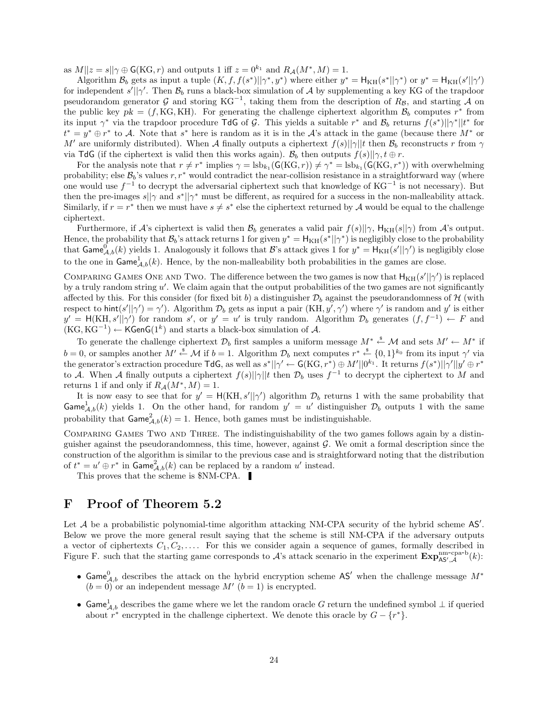as  $M||z = s||\gamma \oplus G(KG, r)$  and outputs 1 iff  $z = 0^{k_1}$  and  $R_{\mathcal{A}}(M^*, M) = 1$ .

Algorithm  $\mathcal{B}_b$  gets as input a tuple  $(K, f, f(s^*) || \gamma^*, y^*)$  where either  $y^* = H_{KH}(s^* || \gamma^*)$  or  $y^* = H_{KH}(s^* || \gamma^*)$ for independent  $s'||\gamma'$ . Then  $\mathcal{B}_b$  runs a black-box simulation of A by supplementing a key KG of the trapdoor pseudorandom generator G and storing KG<sup>-1</sup>, taking them from the description of  $R_B$ , and starting A on the public key  $pk = (f, KG, KH)$ . For generating the challenge ciphertext algorithm  $\mathcal{B}_b$  computes  $r^*$  from its input  $\gamma^*$  via the trapdoor procedure **TdG** of G. This yields a suitable  $r^*$  and  $\mathcal{B}_b$  returns  $f(s^*)||\gamma^*||t^*$  for  $t^* = y^* \oplus r^*$  to A. Note that  $s^*$  here is random as it is in the A's attack in the game (because there  $M^*$  or M' are uniformly distributed). When A finally outputs a ciphertext  $f(s)||\gamma||t$  then  $\mathcal{B}_b$  reconstructs r from  $\gamma$ via TdG (if the ciphertext is valid then this works again).  $B_b$  then outputs  $f(s)||\gamma, t \oplus r$ .

For the analysis note that  $r \neq r^*$  implies  $\gamma = \text{lsb}_{k_1}(\mathsf{G}(\text{KG}, r)) \neq \gamma^* = \text{lsb}_{k_1}(\mathsf{G}(\text{KG}, r^*))$  with overwhelming probability; else  $\mathcal{B}_b$ 's values  $r, r^*$  would contradict the near-collision resistance in a straightforward way (where one would use  $f^{-1}$  to decrypt the adversarial ciphertext such that knowledge of KG<sup>-1</sup> is not necessary). But then the pre-images  $s||\gamma$  and  $s^*||\gamma^*$  must be different, as required for a success in the non-malleability attack. Similarly, if  $r = r^*$  then we must have  $s \neq s^*$  else the ciphertext returned by A would be equal to the challenge ciphertext.

Furthermore, if A's ciphertext is valid then  $\mathcal{B}_b$  generates a valid pair  $f(s||\gamma, H_{\text{KH}}(s||\gamma)$  from A's output. Hence, the probability that  $\mathcal{B}_b$ 's attack returns 1 for given  $y^* = H_{KH}(s^*||\gamma^*)$  is negligibly close to the probability that  $\textsf{Game}^0_{\mathcal{A},b}(k)$  yields 1. Analogously it follows that  $\mathcal{B}$ 's attack gives 1 for  $y^* = \textsf{H}_{KH}(s'||\gamma')$  is negligibly close to the one in  $\textsf{Game}^1_{\mathcal{A},b}(k)$ . Hence, by the non-malleability both probabilities in the games are close.

COMPARING GAMES ONE AND TWO. The difference between the two games is now that  $H_{KH}(s'||\gamma')$  is replaced by a truly random string  $u'$ . We claim again that the output probabilities of the two games are not significantly affected by this. For this consider (for fixed bit b) a distinguisher  $\mathcal{D}_b$  against the pseudorandomness of H (with respect to  $\text{hint}(s'||\gamma') = \gamma'$ ). Algorithm  $\mathcal{D}_b$  gets as input a pair  $(\text{KH}, y', \gamma')$  where  $\gamma'$  is random and  $y'$  is either  $y' = H(KH, s' || \gamma')$  for random s', or  $y' = u'$  is truly random. Algorithm  $\mathcal{D}_b$  generates  $(f, f^{-1}) \leftarrow F$  and  $(KG, KG^{-1}) \leftarrow KGenG(1^k)$  and starts a black-box simulation of A.

To generate the challenge ciphertext  $\mathcal{D}_b$  first samples a uniform message  $M^* \stackrel{\$}{\leftarrow} \mathcal{M}$  and sets  $M' \leftarrow M^*$  if  $b = 0$ , or samples another  $M' \stackrel{\$}{\leftarrow} \mathcal{M}$  if  $b = 1$ . Algorithm  $\mathcal{D}_b$  next computes  $r^* \stackrel{\$}{\leftarrow} \{0,1\}^{k_0}$  from its input  $\gamma'$  via the generator's extraction procedure  $\textsf{TdG}$ , as well as  $s^*||\gamma' \leftarrow \textsf{G}(\textup{KG}, r^*) \oplus M'||0^{k_1}$ . It returns  $f(s^*)||\gamma'||y' \oplus r^*$ to A. When A finally outputs a ciphertext  $f(s)||\gamma||t$  then  $\mathcal{D}_b$  uses  $f^{-1}$  to decrypt the ciphertext to M and returns 1 if and only if  $R_{\mathcal{A}}(M^*, M) = 1$ .

It is now easy to see that for  $y' = H(KH, s' || \gamma')$  algorithm  $\mathcal{D}_b$  returns 1 with the same probability that Game<sub> $\mathcal{A}_{\mu,b}(k)$ </sub> yields 1. On the other hand, for random  $y' = u'$  distinguisher  $\mathcal{D}_b$  outputs 1 with the same probability that  $\textsf{Game}^2_{\mathcal{A},b}(k) = 1$ . Hence, both games must be indistinguishable.

Comparing Games Two and Three. The indistinguishability of the two games follows again by a distinguisher against the pseudorandomness, this time, however, against  $\mathcal G$ . We omit a formal description since the construction of the algorithm is similar to the previous case and is straightforward noting that the distribution of  $t^* = u' \oplus r^*$  in  $\text{Game}^2_{\mathcal{A},b}(k)$  can be replaced by a random u' instead.

This proves that the scheme is  $N$ M-CPA.

### F Proof of Theorem 5.2

Let  $A$  be a probabilistic polynomial-time algorithm attacking NM-CPA security of the hybrid scheme  $AS'$ . Below we prove the more general result saying that the scheme is still NM-CPA if the adversary outputs a vector of ciphertexts  $C_1, C_2, \ldots$ . For this we consider again a sequence of games, formally described in Figure F. such that the starting game corresponds to A's attack scenario in the experiment  $\mathbf{Exp}_{AS',\mathcal{A}}^{\text{nm-cpa-b}}(k)$ :

- Game $^0_{A,b}$  describes the attack on the hybrid encryption scheme AS' when the challenge message  $M^*$  $(b = 0)$  or an independent message M'  $(b = 1)$  is encrypted.
- Game<sup>1</sup><sub> $\mathcal{A}, b$ </sub> describes the game where we let the random oracle G return the undefined symbol  $\perp$  if queried about  $r^*$  encrypted in the challenge ciphertext. We denote this oracle by  $G - \{r^*\}.$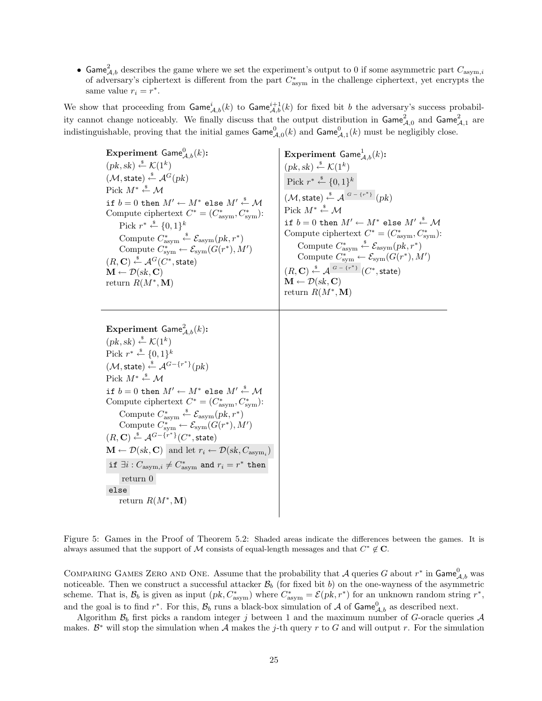• Game<sub> $A,b$ </sub> describes the game where we set the experiment's output to 0 if some asymmetric part  $C_{\text{asym},i}$ of adversary's ciphertext is different from the part  $C^*_{\text{asym}}$  in the challenge ciphertext, yet encrypts the same value  $r_i = r^*$ .

We show that proceeding from  $\mathsf{Game}_{\mathcal{A},b}^{i}(k)$  to  $\mathsf{Game}_{\mathcal{A},b}^{i+1}(k)$  for fixed bit b the adversary's success probability cannot change noticeably. We finally discuss that the output distribution in  $\mathsf{Game}^2_{\mathcal{A},0}$  and  $\mathsf{Game}^2_{\mathcal{A},1}$  are indistinguishable, proving that the initial games  $\textsf{Game}^0_{\mathcal{A},0}(k)$  and  $\textsf{Game}^0_{\mathcal{A},1}(k)$  must be negligibly close.

 ${\bf Experiment\; Game}^0_{{\cal A},b}(k){:}$  $(pk, sk) \stackrel{\$}{\leftarrow} \mathcal{K}(1^k)$  $(\mathcal{M}, \mathsf{state}) \overset{\hspace{0.1em}\mathsf{\scriptscriptstyle\$}}{\leftarrow} \mathcal{A}^G(pk)$ Pick  $M^* \overset{\$}{\leftarrow} \mathcal{M}$ if  $b=0$  then  $M' \leftarrow M^*$  else  $M' \stackrel{\hspace{0.1em}\mathsf{\scriptscriptstyle\$}}{\leftarrow} \mathcal{M}$ Compute ciphertext  $C^* = (C^*_{\text{asym}}, C^*_{\text{sym}})$ : Pick  $r^* \stackrel{\hspace{0.1em}\mathsf{\scriptscriptstyle\$}}{\leftarrow} \{0,1\}^k$ Compute  $C^*_{\text{asym}} \overset{\hspace{0.1em}\mathsf{\scriptscriptstyle\$}}{\leftarrow} \mathcal{E}_{\text{asym}}(pk,r^*)$ Compute  $C^*_{sym} \leftarrow \mathcal{E}_{sym}(G(r^*), M')$  $(R, \mathbf{C}) \overset{\hspace{0.1em}\mathsf{\scriptscriptstyle\$}}{\leftarrow} \mathcal{A}^G(C^*, \mathsf{state})$  $\mathbf{M} \leftarrow \mathcal{D}(sk, \mathbf{C})$ return  $R(M^*, M)$  ${\bf Experiment\; Game}^1_{{\cal A},b}(k){:}$  $(pk, sk) \stackrel{\$}{\leftarrow} \mathcal{K}(1^k)$ Pick  $r^* \stackrel{\$}{\leftarrow} \{0,1\}^k$  $(\mathcal{M}, \text{state}) \overset{\$}{\leftarrow} \mathcal{A}^{G - \{r^*\}}(pk)$ Pick  $M^* \overset{\$}{\leftarrow} M$ if  $b=0$  then  $M' \leftarrow M^*$  else  $M' \stackrel{\hspace{0.1em}\mathsf{\scriptscriptstyle\$}}{\leftarrow} \mathcal{M}$ Compute ciphertext  $C^* = (C^*_{\text{asym}}, C^*_{\text{sym}})$ : Compute  $C^*_{\text{asym}} \overset{\hspace{0.1em}\mathsf{\scriptscriptstyle\$}}{\leftarrow} \mathcal{E}_{\text{asym}}(pk,r^*)$ Compute  $C^*_{sym} \leftarrow \mathcal{E}_{sym}(G(r^*), M')$  $(R, \mathbf{C}) \overset{\hspace{0.1em}\mathsf{\scriptscriptstyle\$}}{\leftarrow} \mathcal{A}^{G - \{r^*\}}(C^*, \mathsf{state})$  $\mathbf{M} \leftarrow \mathcal{D}(sk, \mathbf{C})$ return  $R(M^*, M)$  ${\bf Experiment\; Game}^2_{{\cal A},b}(k){:}$  $(pk, sk) \stackrel{\$}{\leftarrow} \mathcal{K}(1^k)$ Pick  $r^* \stackrel{\$}{\leftarrow} \{0,1\}^k$  $(\mathcal{M}, \mathsf{state}) \overset{\hspace{0.1em}\mathsf{\scriptscriptstyle\$}}{\leftarrow} \mathcal{A}^{G - \{r^*\}}(pk)$ Pick  $M^* \overset{\$}{\leftarrow} \mathcal{M}$ if  $b=0$  then  $M' \leftarrow M^*$  else  $M' \stackrel{\hspace{0.1em}\mathsf{\scriptscriptstyle\$}}{\leftarrow} \mathcal{M}$ Compute ciphertext  $C^* = (C^*_{\text{asym}}, C^*_{\text{sym}})$ : Compute  $C^*_{\text{asym}} \overset{\hspace{0.1em}\mathsf{\scriptscriptstyle\$}}{\leftarrow} \mathcal{E}_{\text{asym}}(pk,r^*)$ Compute  $C^*_{sym} \leftarrow \mathcal{E}_{sym}(G(r^*), M')$  $(R, \mathbf{C}) \overset{\$}{\leftarrow} \mathcal{A}^{G - \{r^*\}}(C^*, \mathsf{state})$  $\mathbf{M} \leftarrow \mathcal{D}(sk, \mathbf{C})$  and let  $r_i \leftarrow \mathcal{D}(sk, C_{\text{asym}_i})$ if  $\exists i: C_{\text{asym},i} \neq C^*_{\text{asym}}$  and  $r_i = r^*$  then return 0 else return  $R(M^*, M)$ 

Figure 5: Games in the Proof of Theorem 5.2: Shaded areas indicate the differences between the games. It is always assumed that the support of M consists of equal-length messages and that  $C^* \notin \mathbf{C}$ .

COMPARING GAMES ZERO AND ONE. Assume that the probability that  $\mathcal A$  queries G about  $r^*$  in Game $_{\mathcal A,b}^0$  was noticeable. Then we construct a successful attacker  $\mathcal{B}_b$  (for fixed bit b) on the one-wayness of the asymmetric scheme. That is,  $\mathcal{B}_b$  is given as input  $(pk, C^*_{\text{asym}})$  where  $C^*_{\text{asym}} = \mathcal{E}(pk, r^*)$  for an unknown random string  $r^*$ , and the goal is to find  $r^*$ . For this,  $\mathcal{B}_b$  runs a black-box simulation of A of Game $_{\mathcal{A},b}^0$  as described next.

Algorithm  $\mathcal{B}_b$  first picks a random integer j between 1 and the maximum number of G-oracle queries  $\mathcal{A}$ makes.  $\mathcal{B}^*$  will stop the simulation when A makes the j-th query r to G and will output r. For the simulation